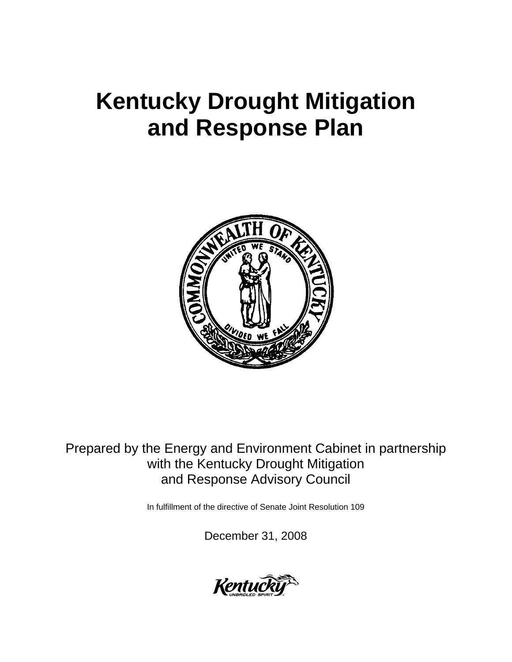# **Kentucky Drought Mitigation and Response Plan**



Prepared by the Energy and Environment Cabinet in partnership with the Kentucky Drought Mitigation and Response Advisory Council

In fulfillment of the directive of Senate Joint Resolution 109

December 31, 2008

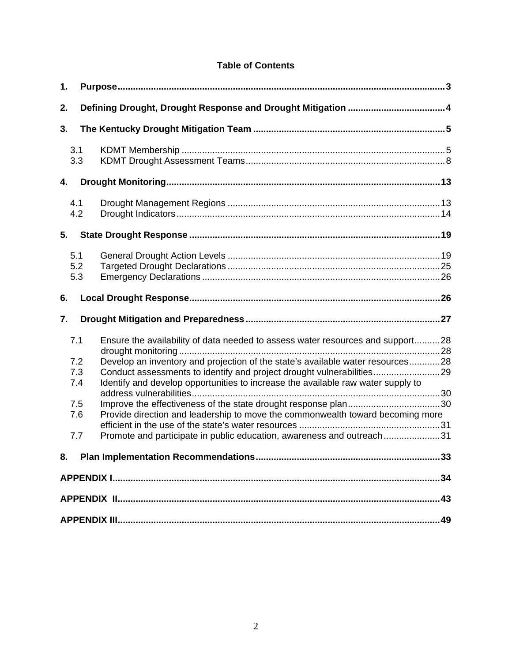## **Table of Contents**

| 1.                                            |                                                                                                                                                                                                                                                                                                                                                                                                                                                                                          |  |  |  |  |  |
|-----------------------------------------------|------------------------------------------------------------------------------------------------------------------------------------------------------------------------------------------------------------------------------------------------------------------------------------------------------------------------------------------------------------------------------------------------------------------------------------------------------------------------------------------|--|--|--|--|--|
| 2.                                            |                                                                                                                                                                                                                                                                                                                                                                                                                                                                                          |  |  |  |  |  |
| 3.                                            |                                                                                                                                                                                                                                                                                                                                                                                                                                                                                          |  |  |  |  |  |
| 3.1<br>3.3                                    |                                                                                                                                                                                                                                                                                                                                                                                                                                                                                          |  |  |  |  |  |
| 4.                                            |                                                                                                                                                                                                                                                                                                                                                                                                                                                                                          |  |  |  |  |  |
| 4.1<br>4.2                                    |                                                                                                                                                                                                                                                                                                                                                                                                                                                                                          |  |  |  |  |  |
| 5.                                            |                                                                                                                                                                                                                                                                                                                                                                                                                                                                                          |  |  |  |  |  |
| 5.1<br>5.2<br>5.3                             |                                                                                                                                                                                                                                                                                                                                                                                                                                                                                          |  |  |  |  |  |
| 6.                                            |                                                                                                                                                                                                                                                                                                                                                                                                                                                                                          |  |  |  |  |  |
| 7.                                            |                                                                                                                                                                                                                                                                                                                                                                                                                                                                                          |  |  |  |  |  |
| 7.1<br>7.2<br>7.3<br>7.4<br>7.5<br>7.6<br>7.7 | Ensure the availability of data needed to assess water resources and support28<br>Develop an inventory and projection of the state's available water resources28<br>Conduct assessments to identify and project drought vulnerabilities29<br>Identify and develop opportunities to increase the available raw water supply to<br>Provide direction and leadership to move the commonwealth toward becoming more<br>Promote and participate in public education, awareness and outreach31 |  |  |  |  |  |
|                                               | 33                                                                                                                                                                                                                                                                                                                                                                                                                                                                                       |  |  |  |  |  |
|                                               |                                                                                                                                                                                                                                                                                                                                                                                                                                                                                          |  |  |  |  |  |
|                                               |                                                                                                                                                                                                                                                                                                                                                                                                                                                                                          |  |  |  |  |  |
|                                               |                                                                                                                                                                                                                                                                                                                                                                                                                                                                                          |  |  |  |  |  |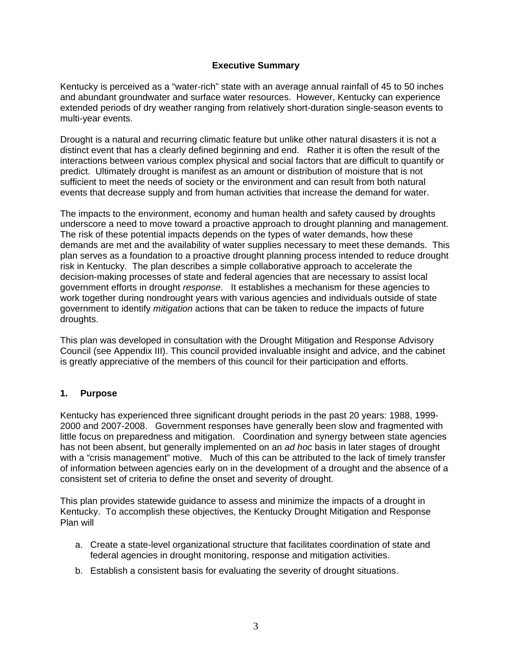#### **Executive Summary**

Kentucky is perceived as a "water-rich" state with an average annual rainfall of 45 to 50 inches and abundant groundwater and surface water resources. However, Kentucky can experience extended periods of dry weather ranging from relatively short-duration single-season events to multi-year events.

Drought is a natural and recurring climatic feature but unlike other natural disasters it is not a distinct event that has a clearly defined beginning and end. Rather it is often the result of the interactions between various complex physical and social factors that are difficult to quantify or predict. Ultimately drought is manifest as an amount or distribution of moisture that is not sufficient to meet the needs of society or the environment and can result from both natural events that decrease supply and from human activities that increase the demand for water.

The impacts to the environment, economy and human health and safety caused by droughts underscore a need to move toward a proactive approach to drought planning and management. The risk of these potential impacts depends on the types of water demands, how these demands are met and the availability of water supplies necessary to meet these demands. This plan serves as a foundation to a proactive drought planning process intended to reduce drought risk in Kentucky. The plan describes a simple collaborative approach to accelerate the decision-making processes of state and federal agencies that are necessary to assist local government efforts in drought *response*. It establishes a mechanism for these agencies to work together during nondrought years with various agencies and individuals outside of state government to identify *mitigation* actions that can be taken to reduce the impacts of future droughts.

This plan was developed in consultation with the Drought Mitigation and Response Advisory Council (see Appendix III). This council provided invaluable insight and advice, and the cabinet is greatly appreciative of the members of this council for their participation and efforts.

#### **1. Purpose**

Kentucky has experienced three significant drought periods in the past 20 years: 1988, 1999- 2000 and 2007-2008. Government responses have generally been slow and fragmented with little focus on preparedness and mitigation. Coordination and synergy between state agencies has not been absent, but generally implemented on an *ad hoc* basis in later stages of drought with a "crisis management" motive. Much of this can be attributed to the lack of timely transfer of information between agencies early on in the development of a drought and the absence of a consistent set of criteria to define the onset and severity of drought.

This plan provides statewide guidance to assess and minimize the impacts of a drought in Kentucky. To accomplish these objectives, the Kentucky Drought Mitigation and Response Plan will

- a. Create a state-level organizational structure that facilitates coordination of state and federal agencies in drought monitoring, response and mitigation activities.
- b. Establish a consistent basis for evaluating the severity of drought situations.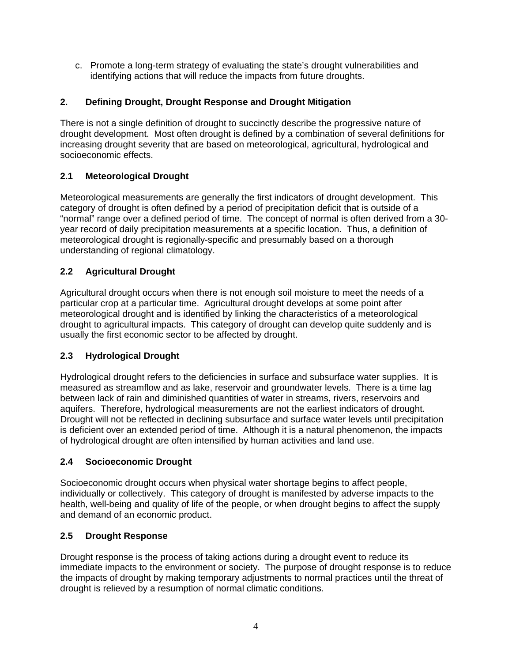c. Promote a long-term strategy of evaluating the state's drought vulnerabilities and identifying actions that will reduce the impacts from future droughts.

## **2. Defining Drought, Drought Response and Drought Mitigation**

There is not a single definition of drought to succinctly describe the progressive nature of drought development. Most often drought is defined by a combination of several definitions for increasing drought severity that are based on meteorological, agricultural, hydrological and socioeconomic effects.

## **2.1 Meteorological Drought**

Meteorological measurements are generally the first indicators of drought development. This category of drought is often defined by a period of precipitation deficit that is outside of a "normal" range over a defined period of time. The concept of normal is often derived from a 30 year record of daily precipitation measurements at a specific location. Thus, a definition of meteorological drought is regionally-specific and presumably based on a thorough understanding of regional climatology.

## **2.2 Agricultural Drought**

Agricultural drought occurs when there is not enough soil moisture to meet the needs of a particular crop at a particular time. Agricultural drought develops at some point after meteorological drought and is identified by linking the characteristics of a meteorological drought to agricultural impacts. This category of drought can develop quite suddenly and is usually the first economic sector to be affected by drought.

## **2.3 Hydrological Drought**

Hydrological drought refers to the deficiencies in surface and subsurface water supplies. It is measured as streamflow and as lake, reservoir and groundwater levels. There is a time lag between lack of rain and diminished quantities of water in streams, rivers, reservoirs and aquifers. Therefore, hydrological measurements are not the earliest indicators of drought. Drought will not be reflected in declining subsurface and surface water levels until precipitation is deficient over an extended period of time. Although it is a natural phenomenon, the impacts of hydrological drought are often intensified by human activities and land use.

## **2.4 Socioeconomic Drought**

Socioeconomic drought occurs when physical water shortage begins to affect people, individually or collectively. This category of drought is manifested by adverse impacts to the health, well-being and quality of life of the people, or when drought begins to affect the supply and demand of an economic product.

## **2.5 Drought Response**

Drought response is the process of taking actions during a drought event to reduce its immediate impacts to the environment or society. The purpose of drought response is to reduce the impacts of drought by making temporary adjustments to normal practices until the threat of drought is relieved by a resumption of normal climatic conditions.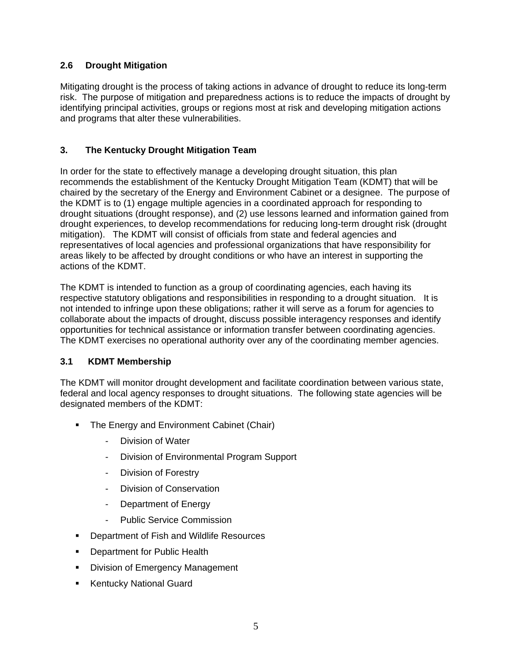## **2.6 Drought Mitigation**

Mitigating drought is the process of taking actions in advance of drought to reduce its long-term risk. The purpose of mitigation and preparedness actions is to reduce the impacts of drought by identifying principal activities, groups or regions most at risk and developing mitigation actions and programs that alter these vulnerabilities.

## **3. The Kentucky Drought Mitigation Team**

In order for the state to effectively manage a developing drought situation, this plan recommends the establishment of the Kentucky Drought Mitigation Team (KDMT) that will be chaired by the secretary of the Energy and Environment Cabinet or a designee. The purpose of the KDMT is to (1) engage multiple agencies in a coordinated approach for responding to drought situations (drought response), and (2) use lessons learned and information gained from drought experiences, to develop recommendations for reducing long-term drought risk (drought mitigation). The KDMT will consist of officials from state and federal agencies and representatives of local agencies and professional organizations that have responsibility for areas likely to be affected by drought conditions or who have an interest in supporting the actions of the KDMT.

The KDMT is intended to function as a group of coordinating agencies, each having its respective statutory obligations and responsibilities in responding to a drought situation. It is not intended to infringe upon these obligations; rather it will serve as a forum for agencies to collaborate about the impacts of drought, discuss possible interagency responses and identify opportunities for technical assistance or information transfer between coordinating agencies. The KDMT exercises no operational authority over any of the coordinating member agencies.

## **3.1 KDMT Membership**

The KDMT will monitor drought development and facilitate coordination between various state, federal and local agency responses to drought situations. The following state agencies will be designated members of the KDMT:

- The Energy and Environment Cabinet (Chair)
	- Division of Water
	- Division of Environmental Program Support
	- Division of Forestry
	- Division of Conservation
	- Department of Energy
	- Public Service Commission
- Department of Fish and Wildlife Resources
- **-** Department for Public Health
- **Division of Emergency Management**
- **Kentucky National Guard**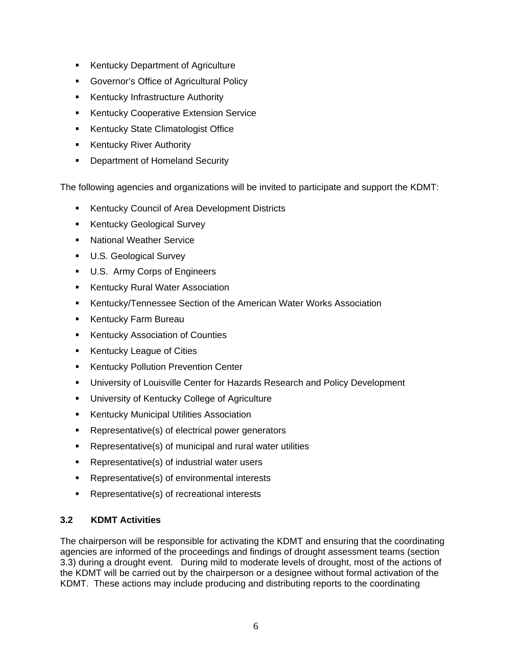- Kentucky Department of Agriculture
- Governor's Office of Agricultural Policy
- **Kentucky Infrastructure Authority**
- **Kentucky Cooperative Extension Service**
- **Kentucky State Climatologist Office**
- **Kentucky River Authority**
- **-** Department of Homeland Security

The following agencies and organizations will be invited to participate and support the KDMT:

- **Kentucky Council of Area Development Districts**
- **Kentucky Geological Survey**
- **National Weather Service**
- **U.S. Geological Survey**
- U.S. Army Corps of Engineers
- **Kentucky Rural Water Association**
- Kentucky/Tennessee Section of the American Water Works Association
- **Kentucky Farm Bureau**
- **Kentucky Association of Counties**
- **Kentucky League of Cities**
- **Kentucky Pollution Prevention Center**
- University of Louisville Center for Hazards Research and Policy Development
- **EXEDENT** University of Kentucky College of Agriculture
- **Kentucky Municipal Utilities Association**
- Representative(s) of electrical power generators
- Representative(s) of municipal and rural water utilities
- **Representative(s) of industrial water users**
- **Representative(s) of environmental interests**
- Representative(s) of recreational interests

## **3.2 KDMT Activities**

The chairperson will be responsible for activating the KDMT and ensuring that the coordinating agencies are informed of the proceedings and findings of drought assessment teams (section 3.3) during a drought event. During mild to moderate levels of drought, most of the actions of the KDMT will be carried out by the chairperson or a designee without formal activation of the KDMT. These actions may include producing and distributing reports to the coordinating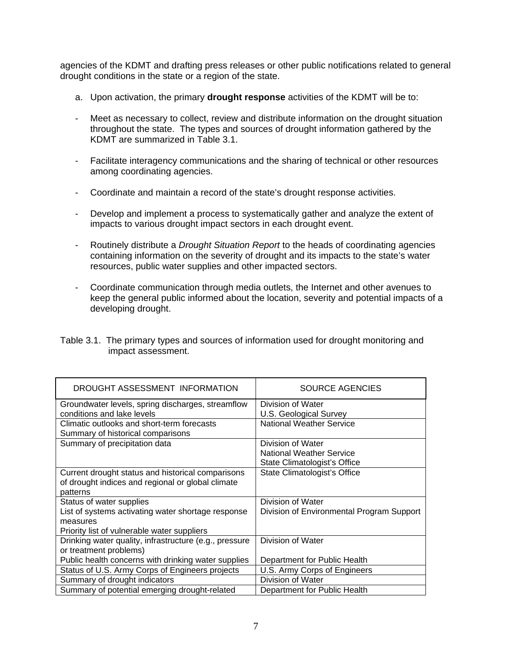agencies of the KDMT and drafting press releases or other public notifications related to general drought conditions in the state or a region of the state.

- a. Upon activation, the primary **drought response** activities of the KDMT will be to:
- Meet as necessary to collect, review and distribute information on the drought situation throughout the state. The types and sources of drought information gathered by the KDMT are summarized in Table 3.1.
- Facilitate interagency communications and the sharing of technical or other resources among coordinating agencies.
- Coordinate and maintain a record of the state's drought response activities.
- Develop and implement a process to systematically gather and analyze the extent of impacts to various drought impact sectors in each drought event.
- Routinely distribute a *Drought Situation Report* to the heads of coordinating agencies containing information on the severity of drought and its impacts to the state's water resources, public water supplies and other impacted sectors.
- Coordinate communication through media outlets, the Internet and other avenues to keep the general public informed about the location, severity and potential impacts of a developing drought.

| Table 3.1. The primary types and sources of information used for drought monitoring and |
|-----------------------------------------------------------------------------------------|
| impact assessment.                                                                      |

| DROUGHT ASSESSMENT INFORMATION                         | SOURCE AGENCIES                           |
|--------------------------------------------------------|-------------------------------------------|
| Groundwater levels, spring discharges, streamflow      | Division of Water                         |
| conditions and lake levels                             | U.S. Geological Survey                    |
| Climatic outlooks and short-term forecasts             | <b>National Weather Service</b>           |
| Summary of historical comparisons                      |                                           |
| Summary of precipitation data                          | Division of Water                         |
|                                                        | <b>National Weather Service</b>           |
|                                                        | State Climatologist's Office              |
| Current drought status and historical comparisons      | State Climatologist's Office              |
| of drought indices and regional or global climate      |                                           |
| patterns                                               |                                           |
| Status of water supplies                               | Division of Water                         |
| List of systems activating water shortage response     | Division of Environmental Program Support |
| measures                                               |                                           |
| Priority list of vulnerable water suppliers            |                                           |
| Drinking water quality, infrastructure (e.g., pressure | Division of Water                         |
| or treatment problems)                                 |                                           |
| Public health concerns with drinking water supplies    | Department for Public Health              |
| Status of U.S. Army Corps of Engineers projects        | U.S. Army Corps of Engineers              |
| Summary of drought indicators                          | Division of Water                         |
| Summary of potential emerging drought-related          | Department for Public Health              |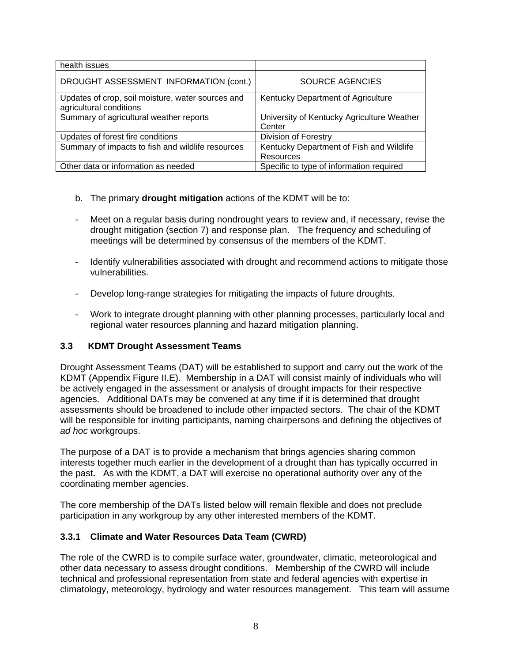| health issues                                                                |                                                      |
|------------------------------------------------------------------------------|------------------------------------------------------|
| DROUGHT ASSESSMENT INFORMATION (cont.)                                       | <b>SOURCE AGENCIES</b>                               |
| Updates of crop, soil moisture, water sources and<br>agricultural conditions | Kentucky Department of Agriculture                   |
| Summary of agricultural weather reports                                      | University of Kentucky Agriculture Weather<br>Center |
| Updates of forest fire conditions                                            | <b>Division of Forestry</b>                          |
| Summary of impacts to fish and wildlife resources                            | Kentucky Department of Fish and Wildlife             |
|                                                                              | Resources                                            |
| Other data or information as needed                                          | Specific to type of information required             |

- b. The primary **drought mitigation** actions of the KDMT will be to:
- Meet on a regular basis during nondrought years to review and, if necessary, revise the drought mitigation (section 7) and response plan. The frequency and scheduling of meetings will be determined by consensus of the members of the KDMT.
- Identify vulnerabilities associated with drought and recommend actions to mitigate those vulnerabilities.
- Develop long-range strategies for mitigating the impacts of future droughts.
- Work to integrate drought planning with other planning processes, particularly local and regional water resources planning and hazard mitigation planning.

## **3.3 KDMT Drought Assessment Teams**

Drought Assessment Teams (DAT) will be established to support and carry out the work of the KDMT (Appendix Figure II.E). Membership in a DAT will consist mainly of individuals who will be actively engaged in the assessment or analysis of drought impacts for their respective agencies. Additional DATs may be convened at any time if it is determined that drought assessments should be broadened to include other impacted sectors. The chair of the KDMT will be responsible for inviting participants, naming chairpersons and defining the objectives of *ad hoc* workgroups.

The purpose of a DAT is to provide a mechanism that brings agencies sharing common interests together much earlier in the development of a drought than has typically occurred in the past**.** As with the KDMT, a DAT will exercise no operational authority over any of the coordinating member agencies.

The core membership of the DATs listed below will remain flexible and does not preclude participation in any workgroup by any other interested members of the KDMT.

#### **3.3.1 Climate and Water Resources Data Team (CWRD)**

The role of the CWRD is to compile surface water, groundwater, climatic, meteorological and other data necessary to assess drought conditions. Membership of the CWRD will include technical and professional representation from state and federal agencies with expertise in climatology, meteorology, hydrology and water resources management. This team will assume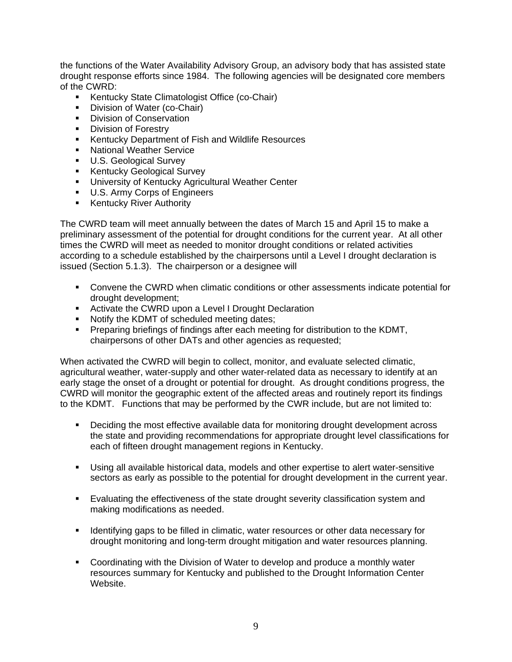the functions of the Water Availability Advisory Group, an advisory body that has assisted state drought response efforts since 1984. The following agencies will be designated core members of the CWRD:

- **Kentucky State Climatologist Office (co-Chair)**
- Division of Water (co-Chair)
- **Division of Conservation**
- **Division of Forestry**
- **Kentucky Department of Fish and Wildlife Resources**
- **National Weather Service**
- **U.S. Geological Survey**
- **Kentucky Geological Survey**
- **University of Kentucky Agricultural Weather Center**
- U.S. Army Corps of Engineers
- **Kentucky River Authority**

The CWRD team will meet annually between the dates of March 15 and April 15 to make a preliminary assessment of the potential for drought conditions for the current year. At all other times the CWRD will meet as needed to monitor drought conditions or related activities according to a schedule established by the chairpersons until a Level I drought declaration is issued (Section 5.1.3). The chairperson or a designee will

- Convene the CWRD when climatic conditions or other assessments indicate potential for drought development;
- **EXECT** Activate the CWRD upon a Level I Drought Declaration
- Notify the KDMT of scheduled meeting dates;
- Preparing briefings of findings after each meeting for distribution to the KDMT, chairpersons of other DATs and other agencies as requested;

When activated the CWRD will begin to collect, monitor, and evaluate selected climatic, agricultural weather, water-supply and other water-related data as necessary to identify at an early stage the onset of a drought or potential for drought. As drought conditions progress, the CWRD will monitor the geographic extent of the affected areas and routinely report its findings to the KDMT. Functions that may be performed by the CWR include, but are not limited to:

- Deciding the most effective available data for monitoring drought development across the state and providing recommendations for appropriate drought level classifications for each of fifteen drought management regions in Kentucky.
- Using all available historical data, models and other expertise to alert water-sensitive sectors as early as possible to the potential for drought development in the current year.
- Evaluating the effectiveness of the state drought severity classification system and making modifications as needed.
- **IDENT** Identifying gaps to be filled in climatic, water resources or other data necessary for drought monitoring and long-term drought mitigation and water resources planning.
- Coordinating with the Division of Water to develop and produce a monthly water resources summary for Kentucky and published to the Drought Information Center Website.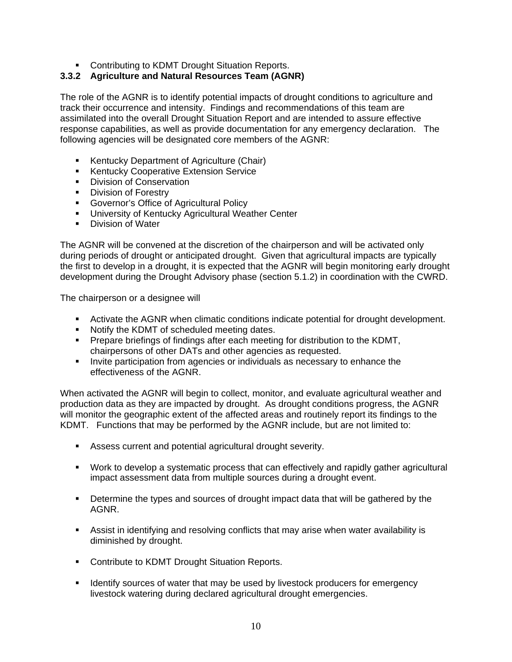**• Contributing to KDMT Drought Situation Reports.** 

## **3.3.2 Agriculture and Natural Resources Team (AGNR)**

The role of the AGNR is to identify potential impacts of drought conditions to agriculture and track their occurrence and intensity. Findings and recommendations of this team are assimilated into the overall Drought Situation Report and are intended to assure effective response capabilities, as well as provide documentation for any emergency declaration. The following agencies will be designated core members of the AGNR:

- **Kentucky Department of Agriculture (Chair)**
- **Kentucky Cooperative Extension Service**
- **Division of Conservation**
- **Division of Forestry**
- **Governor's Office of Agricultural Policy**
- **University of Kentucky Agricultural Weather Center**
- **Division of Water**

The AGNR will be convened at the discretion of the chairperson and will be activated only during periods of drought or anticipated drought. Given that agricultural impacts are typically the first to develop in a drought, it is expected that the AGNR will begin monitoring early drought development during the Drought Advisory phase (section 5.1.2) in coordination with the CWRD.

The chairperson or a designee will

- Activate the AGNR when climatic conditions indicate potential for drought development.
- Notify the KDMT of scheduled meeting dates.
- Prepare briefings of findings after each meeting for distribution to the KDMT, chairpersons of other DATs and other agencies as requested.
- Invite participation from agencies or individuals as necessary to enhance the effectiveness of the AGNR.

When activated the AGNR will begin to collect, monitor, and evaluate agricultural weather and production data as they are impacted by drought. As drought conditions progress, the AGNR will monitor the geographic extent of the affected areas and routinely report its findings to the KDMT. Functions that may be performed by the AGNR include, but are not limited to:

- Assess current and potential agricultural drought severity.
- Work to develop a systematic process that can effectively and rapidly gather agricultural impact assessment data from multiple sources during a drought event.
- Determine the types and sources of drought impact data that will be gathered by the AGNR.
- Assist in identifying and resolving conflicts that may arise when water availability is diminished by drought.
- **Contribute to KDMT Drought Situation Reports.**
- **I** Identify sources of water that may be used by livestock producers for emergency livestock watering during declared agricultural drought emergencies.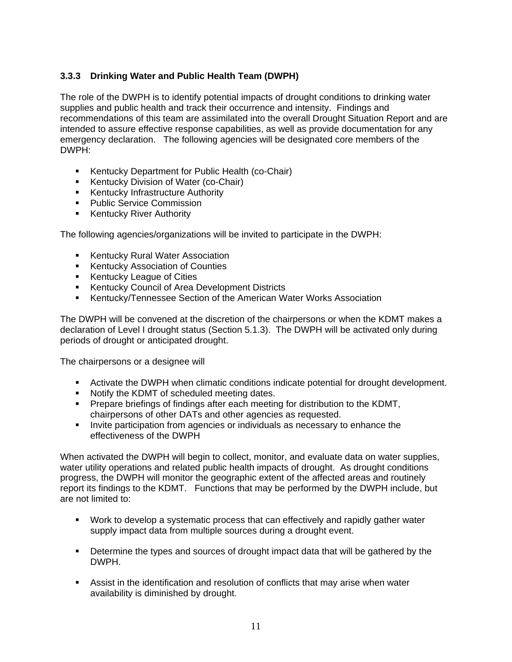## **3.3.3 Drinking Water and Public Health Team (DWPH)**

The role of the DWPH is to identify potential impacts of drought conditions to drinking water supplies and public health and track their occurrence and intensity. Findings and recommendations of this team are assimilated into the overall Drought Situation Report and are intended to assure effective response capabilities, as well as provide documentation for any emergency declaration. The following agencies will be designated core members of the DWPH:

- **Kentucky Department for Public Health (co-Chair)**
- Kentucky Division of Water (co-Chair)
- **Kentucky Infrastructure Authority**
- **Public Service Commission**
- **Kentucky River Authority**

The following agencies/organizations will be invited to participate in the DWPH:

- **Kentucky Rural Water Association**
- **Kentucky Association of Counties**
- **Kentucky League of Cities**
- **Kentucky Council of Area Development Districts**
- Kentucky/Tennessee Section of the American Water Works Association

The DWPH will be convened at the discretion of the chairpersons or when the KDMT makes a declaration of Level I drought status (Section 5.1.3). The DWPH will be activated only during periods of drought or anticipated drought.

The chairpersons or a designee will

- **EXECT** Activate the DWPH when climatic conditions indicate potential for drought development.
- Notify the KDMT of scheduled meeting dates.
- Prepare briefings of findings after each meeting for distribution to the KDMT, chairpersons of other DATs and other agencies as requested.
- Invite participation from agencies or individuals as necessary to enhance the effectiveness of the DWPH

When activated the DWPH will begin to collect, monitor, and evaluate data on water supplies, water utility operations and related public health impacts of drought. As drought conditions progress, the DWPH will monitor the geographic extent of the affected areas and routinely report its findings to the KDMT. Functions that may be performed by the DWPH include, but are not limited to:

- Work to develop a systematic process that can effectively and rapidly gather water supply impact data from multiple sources during a drought event.
- **Determine the types and sources of drought impact data that will be gathered by the** DWPH.
- Assist in the identification and resolution of conflicts that may arise when water availability is diminished by drought.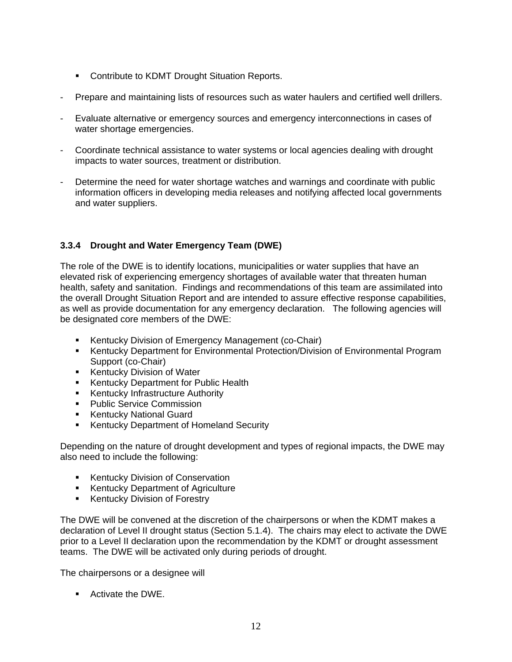- **Contribute to KDMT Drought Situation Reports.**
- Prepare and maintaining lists of resources such as water haulers and certified well drillers.
- Evaluate alternative or emergency sources and emergency interconnections in cases of water shortage emergencies.
- Coordinate technical assistance to water systems or local agencies dealing with drought impacts to water sources, treatment or distribution.
- Determine the need for water shortage watches and warnings and coordinate with public information officers in developing media releases and notifying affected local governments and water suppliers.

## **3.3.4 Drought and Water Emergency Team (DWE)**

The role of the DWE is to identify locations, municipalities or water supplies that have an elevated risk of experiencing emergency shortages of available water that threaten human health, safety and sanitation. Findings and recommendations of this team are assimilated into the overall Drought Situation Report and are intended to assure effective response capabilities, as well as provide documentation for any emergency declaration. The following agencies will be designated core members of the DWE:

- **Kentucky Division of Emergency Management (co-Chair)**
- **Kentucky Department for Environmental Protection/Division of Environmental Program** Support (co-Chair)
- **Kentucky Division of Water**
- **Kentucky Department for Public Health**
- **Kentucky Infrastructure Authority**
- **Public Service Commission**
- **Kentucky National Guard**
- **Kentucky Department of Homeland Security**

Depending on the nature of drought development and types of regional impacts, the DWE may also need to include the following:

- **Kentucky Division of Conservation**
- **Kentucky Department of Agriculture**
- Kentucky Division of Forestry

The DWE will be convened at the discretion of the chairpersons or when the KDMT makes a declaration of Level II drought status (Section 5.1.4). The chairs may elect to activate the DWE prior to a Level II declaration upon the recommendation by the KDMT or drought assessment teams. The DWE will be activated only during periods of drought.

The chairpersons or a designee will

■ Activate the DWE.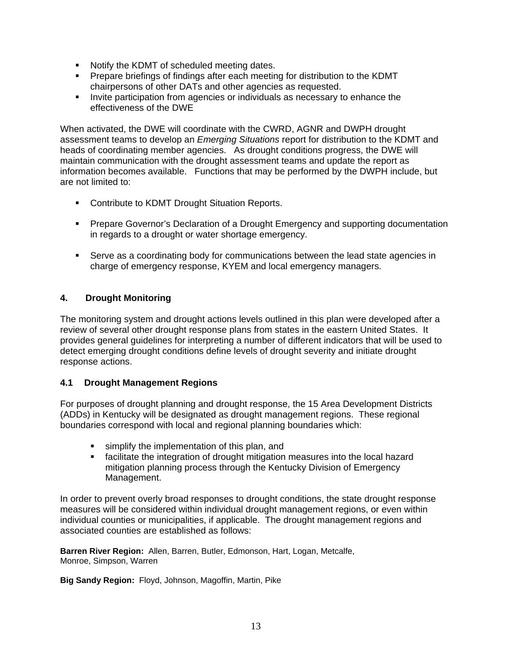- Notify the KDMT of scheduled meeting dates.
- Prepare briefings of findings after each meeting for distribution to the KDMT chairpersons of other DATs and other agencies as requested.
- Invite participation from agencies or individuals as necessary to enhance the effectiveness of the DWE

When activated, the DWE will coordinate with the CWRD, AGNR and DWPH drought assessment teams to develop an *Emerging Situations* report for distribution to the KDMT and heads of coordinating member agencies. As drought conditions progress, the DWE will maintain communication with the drought assessment teams and update the report as information becomes available. Functions that may be performed by the DWPH include, but are not limited to:

- **Contribute to KDMT Drought Situation Reports.**
- **Prepare Governor's Declaration of a Drought Emergency and supporting documentation** in regards to a drought or water shortage emergency.
- Serve as a coordinating body for communications between the lead state agencies in charge of emergency response, KYEM and local emergency managers.

#### **4. Drought Monitoring**

The monitoring system and drought actions levels outlined in this plan were developed after a review of several other drought response plans from states in the eastern United States. It provides general guidelines for interpreting a number of different indicators that will be used to detect emerging drought conditions define levels of drought severity and initiate drought response actions.

#### **4.1 Drought Management Regions**

For purposes of drought planning and drought response, the 15 Area Development Districts (ADDs) in Kentucky will be designated as drought management regions. These regional boundaries correspond with local and regional planning boundaries which:

- **simplify the implementation of this plan, and**
- facilitate the integration of drought mitigation measures into the local hazard mitigation planning process through the Kentucky Division of Emergency Management.

In order to prevent overly broad responses to drought conditions, the state drought response measures will be considered within individual drought management regions, or even within individual counties or municipalities, if applicable. The drought management regions and associated counties are established as follows:

**Barren River Region:** Allen, Barren, Butler, Edmonson, Hart, Logan, Metcalfe, Monroe, Simpson, Warren

**Big Sandy Region:** Floyd, Johnson, Magoffin, Martin, Pike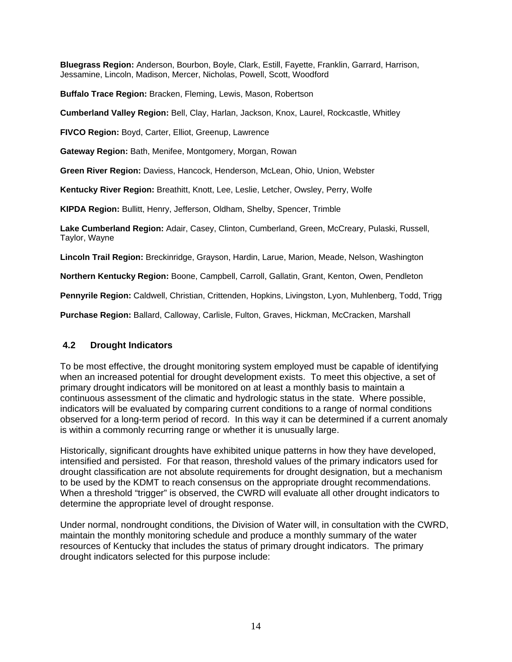**Bluegrass Region:** Anderson, Bourbon, Boyle, Clark, Estill, Fayette, Franklin, Garrard, Harrison, Jessamine, Lincoln, Madison, Mercer, Nicholas, Powell, Scott, Woodford

**Buffalo Trace Region:** Bracken, Fleming, Lewis, Mason, Robertson

**Cumberland Valley Region:** Bell, Clay, Harlan, Jackson, Knox, Laurel, Rockcastle, Whitley

**FIVCO Region:** Boyd, Carter, Elliot, Greenup, Lawrence

**Gateway Region:** Bath, Menifee, Montgomery, Morgan, Rowan

**Green River Region:** Daviess, Hancock, Henderson, McLean, Ohio, Union, Webster

**Kentucky River Region:** Breathitt, Knott, Lee, Leslie, Letcher, Owsley, Perry, Wolfe

**KIPDA Region:** Bullitt, Henry, Jefferson, Oldham, Shelby, Spencer, Trimble

**Lake Cumberland Region:** Adair, Casey, Clinton, Cumberland, Green, McCreary, Pulaski, Russell, Taylor, Wayne

**Lincoln Trail Region:** Breckinridge, Grayson, Hardin, Larue, Marion, Meade, Nelson, Washington

**Northern Kentucky Region:** Boone, Campbell, Carroll, Gallatin, Grant, Kenton, Owen, Pendleton

**Pennyrile Region:** Caldwell, Christian, Crittenden, Hopkins, Livingston, Lyon, Muhlenberg, Todd, Trigg

**Purchase Region:** Ballard, Calloway, Carlisle, Fulton, Graves, Hickman, McCracken, Marshall

#### **4.2 Drought Indicators**

To be most effective, the drought monitoring system employed must be capable of identifying when an increased potential for drought development exists. To meet this objective, a set of primary drought indicators will be monitored on at least a monthly basis to maintain a continuous assessment of the climatic and hydrologic status in the state. Where possible, indicators will be evaluated by comparing current conditions to a range of normal conditions observed for a long-term period of record. In this way it can be determined if a current anomaly is within a commonly recurring range or whether it is unusually large.

Historically, significant droughts have exhibited unique patterns in how they have developed, intensified and persisted. For that reason, threshold values of the primary indicators used for drought classification are not absolute requirements for drought designation, but a mechanism to be used by the KDMT to reach consensus on the appropriate drought recommendations. When a threshold "trigger" is observed, the CWRD will evaluate all other drought indicators to determine the appropriate level of drought response.

Under normal, nondrought conditions, the Division of Water will, in consultation with the CWRD, maintain the monthly monitoring schedule and produce a monthly summary of the water resources of Kentucky that includes the status of primary drought indicators. The primary drought indicators selected for this purpose include: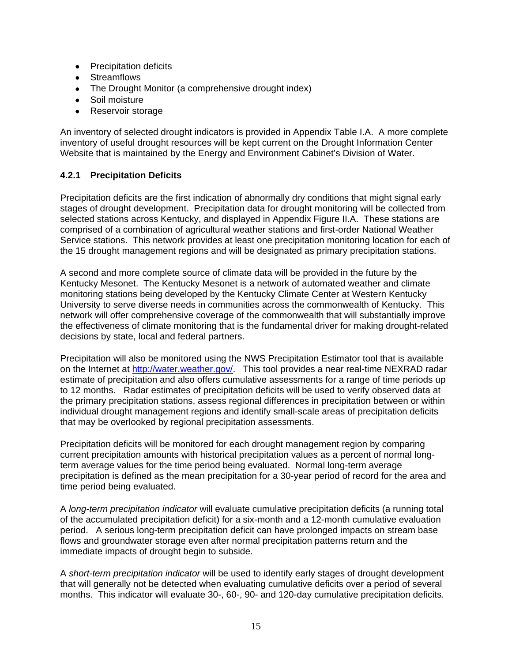- Precipitation deficits
- Streamflows
- The Drought Monitor (a comprehensive drought index)
- Soil moisture
- Reservoir storage

An inventory of selected drought indicators is provided in Appendix Table I.A. A more complete inventory of useful drought resources will be kept current on the Drought Information Center Website that is maintained by the Energy and Environment Cabinet's Division of Water.

#### **4.2.1 Precipitation Deficits**

Precipitation deficits are the first indication of abnormally dry conditions that might signal early stages of drought development. Precipitation data for drought monitoring will be collected from selected stations across Kentucky, and displayed in Appendix Figure II.A. These stations are comprised of a combination of agricultural weather stations and first-order National Weather Service stations. This network provides at least one precipitation monitoring location for each of the 15 drought management regions and will be designated as primary precipitation stations.

A second and more complete source of climate data will be provided in the future by the Kentucky Mesonet. The Kentucky Mesonet is a network of automated weather and climate monitoring stations being developed by the Kentucky Climate Center at Western Kentucky University to serve diverse needs in communities across the commonwealth of Kentucky. This network will offer comprehensive coverage of the commonwealth that will substantially improve the effectiveness of climate monitoring that is the fundamental driver for making drought-related decisions by state, local and federal partners.

Precipitation will also be monitored using the NWS Precipitation Estimator tool that is available on the Internet at http://water.weather.gov/. This tool provides a near real-time NEXRAD radar estimate of precipitation and also offers cumulative assessments for a range of time periods up to 12 months. Radar estimates of precipitation deficits will be used to verify observed data at the primary precipitation stations, assess regional differences in precipitation between or within individual drought management regions and identify small-scale areas of precipitation deficits that may be overlooked by regional precipitation assessments.

Precipitation deficits will be monitored for each drought management region by comparing current precipitation amounts with historical precipitation values as a percent of normal longterm average values for the time period being evaluated. Normal long-term average precipitation is defined as the mean precipitation for a 30-year period of record for the area and time period being evaluated.

A *long-term precipitation indicator* will evaluate cumulative precipitation deficits (a running total of the accumulated precipitation deficit) for a six-month and a 12-month cumulative evaluation period. A serious long-term precipitation deficit can have prolonged impacts on stream base flows and groundwater storage even after normal precipitation patterns return and the immediate impacts of drought begin to subside.

A *short-term precipitation indicator* will be used to identify early stages of drought development that will generally not be detected when evaluating cumulative deficits over a period of several months. This indicator will evaluate 30-, 60-, 90- and 120-day cumulative precipitation deficits.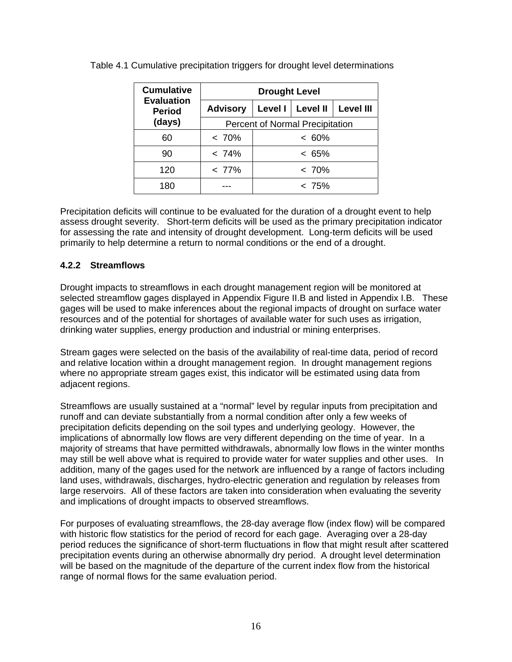| <b>Cumulative</b>                  | <b>Drought Level</b>                   |         |                 |                  |  |  |
|------------------------------------|----------------------------------------|---------|-----------------|------------------|--|--|
| <b>Evaluation</b><br><b>Period</b> | <b>Advisory</b>                        | Level I | <b>Level II</b> | <b>Level III</b> |  |  |
| (days)                             | <b>Percent of Normal Precipitation</b> |         |                 |                  |  |  |
| 60                                 | $< 70\%$                               |         | $< 60\%$        |                  |  |  |
| 90                                 | < 74%                                  |         | $< 65\%$        |                  |  |  |
| 120                                | $< 77\%$                               |         | $~< 70\%$       |                  |  |  |
| 180                                |                                        |         | $< 75\%$        |                  |  |  |

Table 4.1 Cumulative precipitation triggers for drought level determinations

Precipitation deficits will continue to be evaluated for the duration of a drought event to help assess drought severity. Short-term deficits will be used as the primary precipitation indicator for assessing the rate and intensity of drought development. Long-term deficits will be used primarily to help determine a return to normal conditions or the end of a drought.

## **4.2.2 Streamflows**

Drought impacts to streamflows in each drought management region will be monitored at selected streamflow gages displayed in Appendix Figure II.B and listed in Appendix I.B. These gages will be used to make inferences about the regional impacts of drought on surface water resources and of the potential for shortages of available water for such uses as irrigation, drinking water supplies, energy production and industrial or mining enterprises.

Stream gages were selected on the basis of the availability of real-time data, period of record and relative location within a drought management region. In drought management regions where no appropriate stream gages exist, this indicator will be estimated using data from adjacent regions.

Streamflows are usually sustained at a "normal" level by regular inputs from precipitation and runoff and can deviate substantially from a normal condition after only a few weeks of precipitation deficits depending on the soil types and underlying geology. However, the implications of abnormally low flows are very different depending on the time of year. In a majority of streams that have permitted withdrawals, abnormally low flows in the winter months may still be well above what is required to provide water for water supplies and other uses. In addition, many of the gages used for the network are influenced by a range of factors including land uses, withdrawals, discharges, hydro-electric generation and regulation by releases from large reservoirs. All of these factors are taken into consideration when evaluating the severity and implications of drought impacts to observed streamflows.

For purposes of evaluating streamflows, the 28-day average flow (index flow) will be compared with historic flow statistics for the period of record for each gage. Averaging over a 28-day period reduces the significance of short-term fluctuations in flow that might result after scattered precipitation events during an otherwise abnormally dry period. A drought level determination will be based on the magnitude of the departure of the current index flow from the historical range of normal flows for the same evaluation period.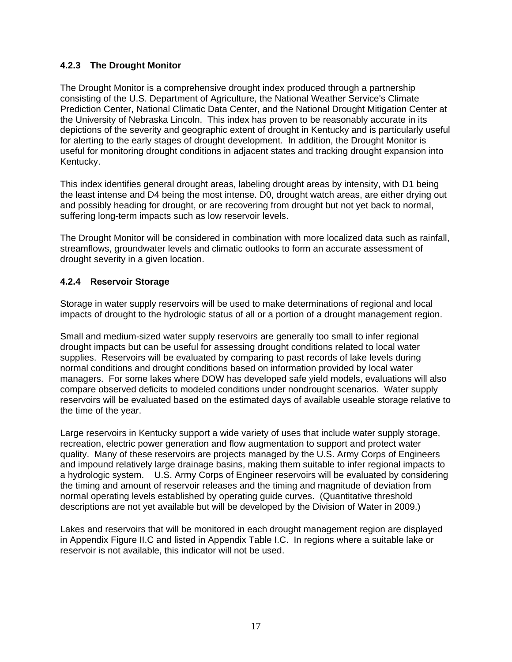#### **4.2.3 The Drought Monitor**

The Drought Monitor is a comprehensive drought index produced through a partnership consisting of the U.S. Department of Agriculture, the National Weather Service's Climate Prediction Center, National Climatic Data Center, and the National Drought Mitigation Center at the University of Nebraska Lincoln. This index has proven to be reasonably accurate in its depictions of the severity and geographic extent of drought in Kentucky and is particularly useful for alerting to the early stages of drought development. In addition, the Drought Monitor is useful for monitoring drought conditions in adjacent states and tracking drought expansion into Kentucky.

This index identifies general drought areas, labeling drought areas by intensity, with D1 being the least intense and D4 being the most intense. D0, drought watch areas, are either drying out and possibly heading for drought, or are recovering from drought but not yet back to normal, suffering long-term impacts such as low reservoir levels.

The Drought Monitor will be considered in combination with more localized data such as rainfall, streamflows, groundwater levels and climatic outlooks to form an accurate assessment of drought severity in a given location.

#### **4.2.4 Reservoir Storage**

Storage in water supply reservoirs will be used to make determinations of regional and local impacts of drought to the hydrologic status of all or a portion of a drought management region.

Small and medium-sized water supply reservoirs are generally too small to infer regional drought impacts but can be useful for assessing drought conditions related to local water supplies. Reservoirs will be evaluated by comparing to past records of lake levels during normal conditions and drought conditions based on information provided by local water managers. For some lakes where DOW has developed safe yield models, evaluations will also compare observed deficits to modeled conditions under nondrought scenarios. Water supply reservoirs will be evaluated based on the estimated days of available useable storage relative to the time of the year.

Large reservoirs in Kentucky support a wide variety of uses that include water supply storage, recreation, electric power generation and flow augmentation to support and protect water quality. Many of these reservoirs are projects managed by the U.S. Army Corps of Engineers and impound relatively large drainage basins, making them suitable to infer regional impacts to a hydrologic system. U.S. Army Corps of Engineer reservoirs will be evaluated by considering the timing and amount of reservoir releases and the timing and magnitude of deviation from normal operating levels established by operating guide curves. (Quantitative threshold descriptions are not yet available but will be developed by the Division of Water in 2009.)

Lakes and reservoirs that will be monitored in each drought management region are displayed in Appendix Figure II.C and listed in Appendix Table I.C. In regions where a suitable lake or reservoir is not available, this indicator will not be used.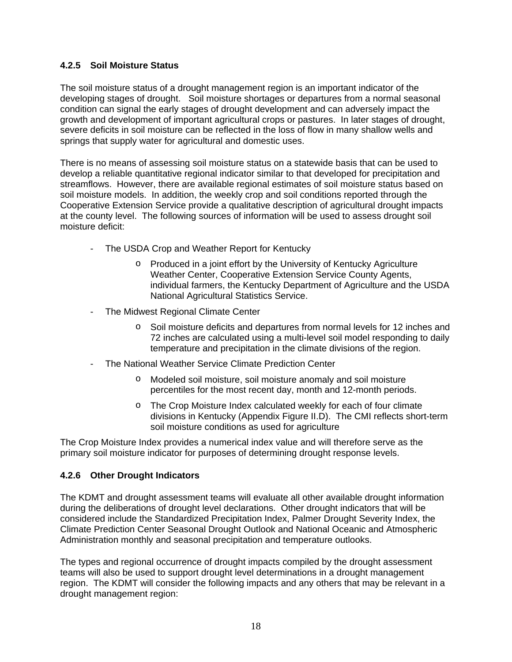#### **4.2.5 Soil Moisture Status**

The soil moisture status of a drought management region is an important indicator of the developing stages of drought. Soil moisture shortages or departures from a normal seasonal condition can signal the early stages of drought development and can adversely impact the growth and development of important agricultural crops or pastures. In later stages of drought, severe deficits in soil moisture can be reflected in the loss of flow in many shallow wells and springs that supply water for agricultural and domestic uses.

There is no means of assessing soil moisture status on a statewide basis that can be used to develop a reliable quantitative regional indicator similar to that developed for precipitation and streamflows. However, there are available regional estimates of soil moisture status based on soil moisture models. In addition, the weekly crop and soil conditions reported through the Cooperative Extension Service provide a qualitative description of agricultural drought impacts at the county level. The following sources of information will be used to assess drought soil moisture deficit:

- The USDA Crop and Weather Report for Kentucky
	- o Produced in a joint effort by the University of Kentucky Agriculture Weather Center, Cooperative Extension Service County Agents, individual farmers, the Kentucky Department of Agriculture and the USDA National Agricultural Statistics Service.
- The Midwest Regional Climate Center
	- o Soil moisture deficits and departures from normal levels for 12 inches and 72 inches are calculated using a multi-level soil model responding to daily temperature and precipitation in the climate divisions of the region.
- The National Weather Service Climate Prediction Center
	- o Modeled soil moisture, soil moisture anomaly and soil moisture percentiles for the most recent day, month and 12-month periods.
	- o The Crop Moisture Index calculated weekly for each of four climate divisions in Kentucky (Appendix Figure II.D). The CMI reflects short-term soil moisture conditions as used for agriculture

The Crop Moisture Index provides a numerical index value and will therefore serve as the primary soil moisture indicator for purposes of determining drought response levels.

#### **4.2.6 Other Drought Indicators**

The KDMT and drought assessment teams will evaluate all other available drought information during the deliberations of drought level declarations. Other drought indicators that will be considered include the Standardized Precipitation Index, Palmer Drought Severity Index, the Climate Prediction Center Seasonal Drought Outlook and National Oceanic and Atmospheric Administration monthly and seasonal precipitation and temperature outlooks.

The types and regional occurrence of drought impacts compiled by the drought assessment teams will also be used to support drought level determinations in a drought management region. The KDMT will consider the following impacts and any others that may be relevant in a drought management region: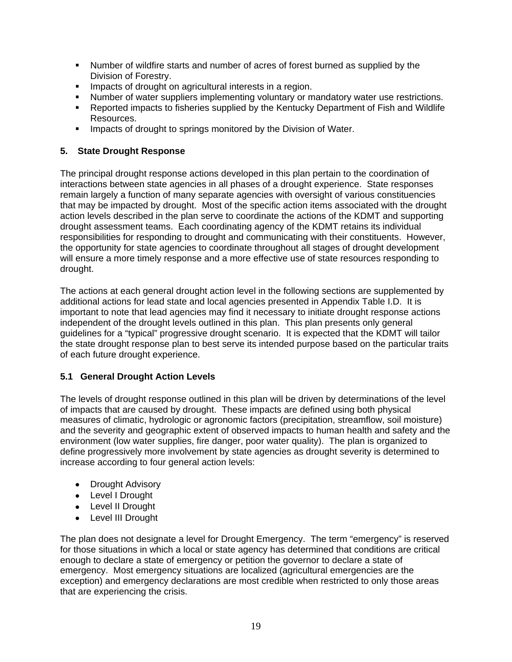- Number of wildfire starts and number of acres of forest burned as supplied by the Division of Forestry.
- **IMPACTE OF DRIGHT OF A GET ACT AND IMP** Interests in a region.
- Number of water suppliers implementing voluntary or mandatory water use restrictions.
- Reported impacts to fisheries supplied by the Kentucky Department of Fish and Wildlife Resources.
- **IMPACTE OF DROUGHT IS NOTED TO SPEED FOR A THE VISTOR CONTRACTE:** Impacts of drought to springs monitored by the Division of Water.

#### **5. State Drought Response**

The principal drought response actions developed in this plan pertain to the coordination of interactions between state agencies in all phases of a drought experience. State responses remain largely a function of many separate agencies with oversight of various constituencies that may be impacted by drought. Most of the specific action items associated with the drought action levels described in the plan serve to coordinate the actions of the KDMT and supporting drought assessment teams. Each coordinating agency of the KDMT retains its individual responsibilities for responding to drought and communicating with their constituents. However, the opportunity for state agencies to coordinate throughout all stages of drought development will ensure a more timely response and a more effective use of state resources responding to drought.

The actions at each general drought action level in the following sections are supplemented by additional actions for lead state and local agencies presented in Appendix Table I.D. It is important to note that lead agencies may find it necessary to initiate drought response actions independent of the drought levels outlined in this plan. This plan presents only general guidelines for a "typical" progressive drought scenario. It is expected that the KDMT will tailor the state drought response plan to best serve its intended purpose based on the particular traits of each future drought experience.

## **5.1 General Drought Action Levels**

The levels of drought response outlined in this plan will be driven by determinations of the level of impacts that are caused by drought. These impacts are defined using both physical measures of climatic, hydrologic or agronomic factors (precipitation, streamflow, soil moisture) and the severity and geographic extent of observed impacts to human health and safety and the environment (low water supplies, fire danger, poor water quality). The plan is organized to define progressively more involvement by state agencies as drought severity is determined to increase according to four general action levels:

- Drought Advisory
- Level I Drought
- Level II Drought
- Level III Drought

The plan does not designate a level for Drought Emergency. The term "emergency" is reserved for those situations in which a local or state agency has determined that conditions are critical enough to declare a state of emergency or petition the governor to declare a state of emergency. Most emergency situations are localized (agricultural emergencies are the exception) and emergency declarations are most credible when restricted to only those areas that are experiencing the crisis.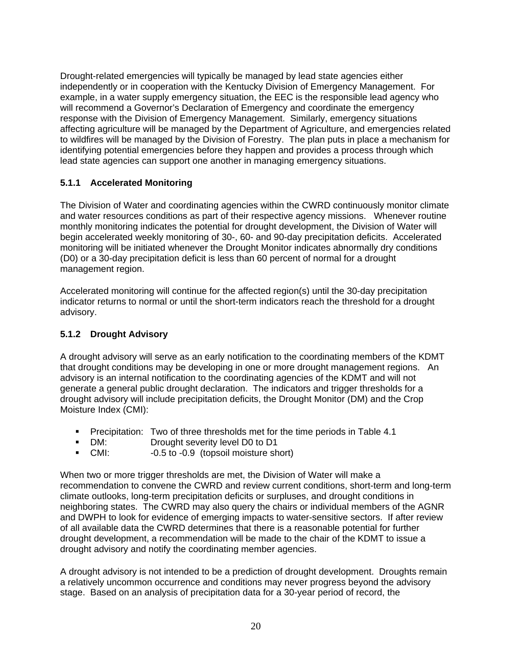Drought-related emergencies will typically be managed by lead state agencies either independently or in cooperation with the Kentucky Division of Emergency Management. For example, in a water supply emergency situation, the EEC is the responsible lead agency who will recommend a Governor's Declaration of Emergency and coordinate the emergency response with the Division of Emergency Management. Similarly, emergency situations affecting agriculture will be managed by the Department of Agriculture, and emergencies related to wildfires will be managed by the Division of Forestry. The plan puts in place a mechanism for identifying potential emergencies before they happen and provides a process through which lead state agencies can support one another in managing emergency situations.

## **5.1.1 Accelerated Monitoring**

The Division of Water and coordinating agencies within the CWRD continuously monitor climate and water resources conditions as part of their respective agency missions. Whenever routine monthly monitoring indicates the potential for drought development, the Division of Water will begin accelerated weekly monitoring of 30-, 60- and 90-day precipitation deficits. Accelerated monitoring will be initiated whenever the Drought Monitor indicates abnormally dry conditions (D0) or a 30-day precipitation deficit is less than 60 percent of normal for a drought management region.

Accelerated monitoring will continue for the affected region(s) until the 30-day precipitation indicator returns to normal or until the short-term indicators reach the threshold for a drought advisory.

## **5.1.2 Drought Advisory**

A drought advisory will serve as an early notification to the coordinating members of the KDMT that drought conditions may be developing in one or more drought management regions. An advisory is an internal notification to the coordinating agencies of the KDMT and will not generate a general public drought declaration. The indicators and trigger thresholds for a drought advisory will include precipitation deficits, the Drought Monitor (DM) and the Crop Moisture Index (CMI):

- **Precipitation:** Two of three thresholds met for the time periods in Table 4.1
- **DM:** Drought severity level D0 to D1
- CMI: -0.5 to -0.9 (topsoil moisture short)

When two or more trigger thresholds are met, the Division of Water will make a recommendation to convene the CWRD and review current conditions, short-term and long-term climate outlooks, long-term precipitation deficits or surpluses, and drought conditions in neighboring states. The CWRD may also query the chairs or individual members of the AGNR and DWPH to look for evidence of emerging impacts to water-sensitive sectors. If after review of all available data the CWRD determines that there is a reasonable potential for further drought development, a recommendation will be made to the chair of the KDMT to issue a drought advisory and notify the coordinating member agencies.

A drought advisory is not intended to be a prediction of drought development. Droughts remain a relatively uncommon occurrence and conditions may never progress beyond the advisory stage. Based on an analysis of precipitation data for a 30-year period of record, the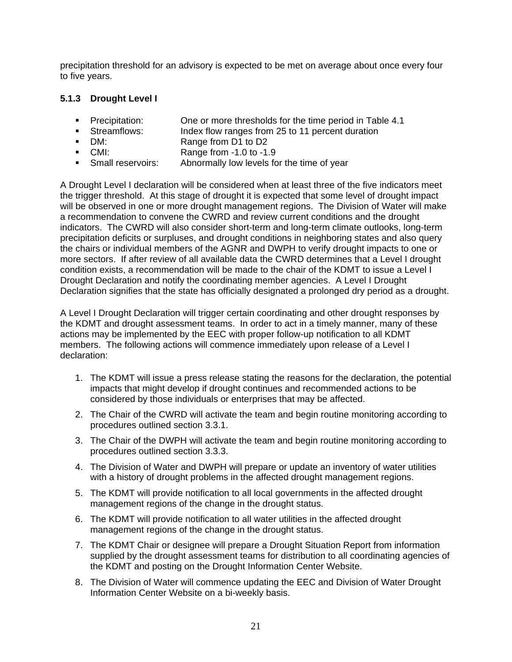precipitation threshold for an advisory is expected to be met on average about once every four to five years.

#### **5.1.3 Drought Level I**

- **Precipitation:** One or more thresholds for the time period in Table 4.1
- Streamflows: Index flow ranges from 25 to 11 percent duration
- DM: Range from D1 to D2<br>■ CMI: Range from -1.0 to -1.
- CMI: Range from -1.0 to -1.9
- **Small reservoirs:** Abnormally low levels for the time of year

A Drought Level I declaration will be considered when at least three of the five indicators meet the trigger threshold. At this stage of drought it is expected that some level of drought impact will be observed in one or more drought management regions. The Division of Water will make a recommendation to convene the CWRD and review current conditions and the drought indicators. The CWRD will also consider short-term and long-term climate outlooks, long-term precipitation deficits or surpluses, and drought conditions in neighboring states and also query the chairs or individual members of the AGNR and DWPH to verify drought impacts to one or more sectors. If after review of all available data the CWRD determines that a Level I drought condition exists, a recommendation will be made to the chair of the KDMT to issue a Level I Drought Declaration and notify the coordinating member agencies. A Level I Drought Declaration signifies that the state has officially designated a prolonged dry period as a drought.

A Level I Drought Declaration will trigger certain coordinating and other drought responses by the KDMT and drought assessment teams. In order to act in a timely manner, many of these actions may be implemented by the EEC with proper follow-up notification to all KDMT members. The following actions will commence immediately upon release of a Level I declaration:

- 1. The KDMT will issue a press release stating the reasons for the declaration, the potential impacts that might develop if drought continues and recommended actions to be considered by those individuals or enterprises that may be affected.
- 2. The Chair of the CWRD will activate the team and begin routine monitoring according to procedures outlined section 3.3.1.
- 3. The Chair of the DWPH will activate the team and begin routine monitoring according to procedures outlined section 3.3.3.
- 4. The Division of Water and DWPH will prepare or update an inventory of water utilities with a history of drought problems in the affected drought management regions.
- 5. The KDMT will provide notification to all local governments in the affected drought management regions of the change in the drought status.
- 6. The KDMT will provide notification to all water utilities in the affected drought management regions of the change in the drought status.
- 7. The KDMT Chair or designee will prepare a Drought Situation Report from information supplied by the drought assessment teams for distribution to all coordinating agencies of the KDMT and posting on the Drought Information Center Website.
- 8. The Division of Water will commence updating the EEC and Division of Water Drought Information Center Website on a bi-weekly basis.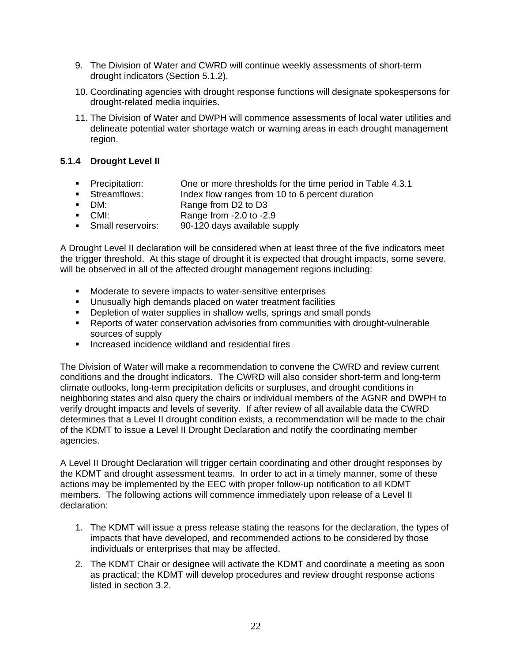- 9. The Division of Water and CWRD will continue weekly assessments of short-term drought indicators (Section 5.1.2).
- 10. Coordinating agencies with drought response functions will designate spokespersons for drought-related media inquiries.
- 11. The Division of Water and DWPH will commence assessments of local water utilities and delineate potential water shortage watch or warning areas in each drought management region.

## **5.1.4 Drought Level II**

- **Precipitation:** One or more thresholds for the time period in Table 4.3.1
- Streamflows: Index flow ranges from 10 to 6 percent duration
- DM: **Brange** from D2 to D3
- CMI: Range from -2.0 to -2.9
- **Small reservoirs:** 90-120 days available supply

A Drought Level II declaration will be considered when at least three of the five indicators meet the trigger threshold. At this stage of drought it is expected that drought impacts, some severe, will be observed in all of the affected drought management regions including:

- **Moderate to severe impacts to water-sensitive enterprises**
- Unusually high demands placed on water treatment facilities
- **-** Depletion of water supplies in shallow wells, springs and small ponds
- Reports of water conservation advisories from communities with drought-vulnerable sources of supply
- **Increased incidence wildland and residential fires**

The Division of Water will make a recommendation to convene the CWRD and review current conditions and the drought indicators. The CWRD will also consider short-term and long-term climate outlooks, long-term precipitation deficits or surpluses, and drought conditions in neighboring states and also query the chairs or individual members of the AGNR and DWPH to verify drought impacts and levels of severity. If after review of all available data the CWRD determines that a Level II drought condition exists, a recommendation will be made to the chair of the KDMT to issue a Level II Drought Declaration and notify the coordinating member agencies.

A Level II Drought Declaration will trigger certain coordinating and other drought responses by the KDMT and drought assessment teams. In order to act in a timely manner, some of these actions may be implemented by the EEC with proper follow-up notification to all KDMT members. The following actions will commence immediately upon release of a Level II declaration:

- 1. The KDMT will issue a press release stating the reasons for the declaration, the types of impacts that have developed, and recommended actions to be considered by those individuals or enterprises that may be affected.
- 2. The KDMT Chair or designee will activate the KDMT and coordinate a meeting as soon as practical; the KDMT will develop procedures and review drought response actions listed in section 3.2.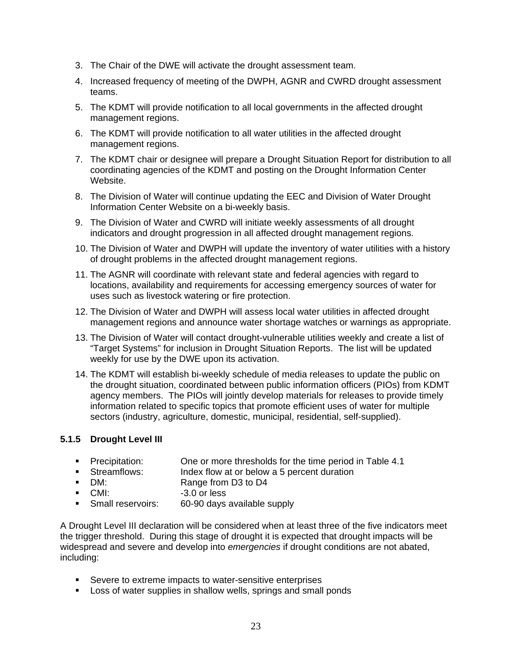- 3. The Chair of the DWE will activate the drought assessment team.
- 4. Increased frequency of meeting of the DWPH, AGNR and CWRD drought assessment teams.
- 5. The KDMT will provide notification to all local governments in the affected drought management regions.
- 6. The KDMT will provide notification to all water utilities in the affected drought management regions.
- 7. The KDMT chair or designee will prepare a Drought Situation Report for distribution to all coordinating agencies of the KDMT and posting on the Drought Information Center Website.
- 8. The Division of Water will continue updating the EEC and Division of Water Drought Information Center Website on a bi-weekly basis.
- 9. The Division of Water and CWRD will initiate weekly assessments of all drought indicators and drought progression in all affected drought management regions.
- 10. The Division of Water and DWPH will update the inventory of water utilities with a history of drought problems in the affected drought management regions.
- 11. The AGNR will coordinate with relevant state and federal agencies with regard to locations, availability and requirements for accessing emergency sources of water for uses such as livestock watering or fire protection.
- 12. The Division of Water and DWPH will assess local water utilities in affected drought management regions and announce water shortage watches or warnings as appropriate.
- 13. The Division of Water will contact drought-vulnerable utilities weekly and create a list of "Target Systems" for inclusion in Drought Situation Reports. The list will be updated weekly for use by the DWE upon its activation.
- 14. The KDMT will establish bi-weekly schedule of media releases to update the public on the drought situation, coordinated between public information officers (PIOs) from KDMT agency members. The PIOs will jointly develop materials for releases to provide timely information related to specific topics that promote efficient uses of water for multiple sectors (industry, agriculture, domestic, municipal, residential, self-supplied).

## **5.1.5 Drought Level III**

- **Precipitation:** One or more thresholds for the time period in Table 4.1
- Streamflows: Index flow at or below a 5 percent duration
- **DM: Range from D3 to D4**
- CMI: -3.0 or less
- **Small reservoirs:** 60-90 days available supply

A Drought Level III declaration will be considered when at least three of the five indicators meet the trigger threshold. During this stage of drought it is expected that drought impacts will be widespread and severe and develop into *emergencies* if drought conditions are not abated, including:

- **Severe to extreme impacts to water-sensitive enterprises**
- **Loss of water supplies in shallow wells, springs and small ponds**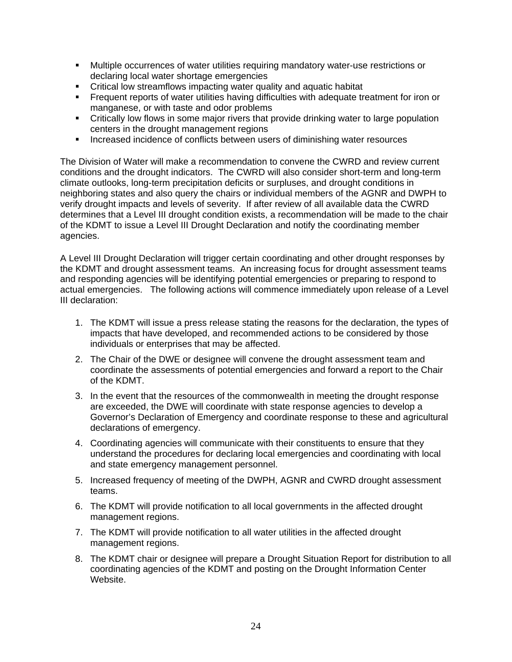- Multiple occurrences of water utilities requiring mandatory water-use restrictions or declaring local water shortage emergencies
- Critical low streamflows impacting water quality and aquatic habitat
- Frequent reports of water utilities having difficulties with adequate treatment for iron or manganese, or with taste and odor problems
- Critically low flows in some major rivers that provide drinking water to large population centers in the drought management regions
- **Increased incidence of conflicts between users of diminishing water resources**

The Division of Water will make a recommendation to convene the CWRD and review current conditions and the drought indicators. The CWRD will also consider short-term and long-term climate outlooks, long-term precipitation deficits or surpluses, and drought conditions in neighboring states and also query the chairs or individual members of the AGNR and DWPH to verify drought impacts and levels of severity. If after review of all available data the CWRD determines that a Level III drought condition exists, a recommendation will be made to the chair of the KDMT to issue a Level III Drought Declaration and notify the coordinating member agencies.

A Level III Drought Declaration will trigger certain coordinating and other drought responses by the KDMT and drought assessment teams. An increasing focus for drought assessment teams and responding agencies will be identifying potential emergencies or preparing to respond to actual emergencies. The following actions will commence immediately upon release of a Level III declaration:

- 1. The KDMT will issue a press release stating the reasons for the declaration, the types of impacts that have developed, and recommended actions to be considered by those individuals or enterprises that may be affected.
- 2. The Chair of the DWE or designee will convene the drought assessment team and coordinate the assessments of potential emergencies and forward a report to the Chair of the KDMT.
- 3. In the event that the resources of the commonwealth in meeting the drought response are exceeded, the DWE will coordinate with state response agencies to develop a Governor's Declaration of Emergency and coordinate response to these and agricultural declarations of emergency.
- 4. Coordinating agencies will communicate with their constituents to ensure that they understand the procedures for declaring local emergencies and coordinating with local and state emergency management personnel.
- 5. Increased frequency of meeting of the DWPH, AGNR and CWRD drought assessment teams.
- 6. The KDMT will provide notification to all local governments in the affected drought management regions.
- 7. The KDMT will provide notification to all water utilities in the affected drought management regions.
- 8. The KDMT chair or designee will prepare a Drought Situation Report for distribution to all coordinating agencies of the KDMT and posting on the Drought Information Center Website.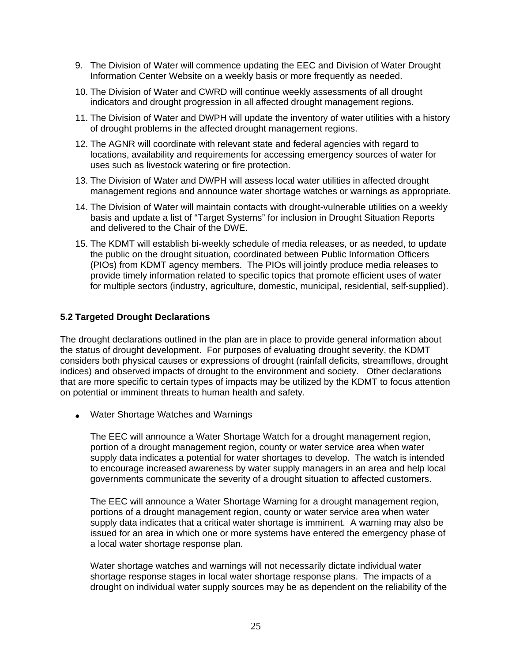- 9. The Division of Water will commence updating the EEC and Division of Water Drought Information Center Website on a weekly basis or more frequently as needed.
- 10. The Division of Water and CWRD will continue weekly assessments of all drought indicators and drought progression in all affected drought management regions.
- 11. The Division of Water and DWPH will update the inventory of water utilities with a history of drought problems in the affected drought management regions.
- 12. The AGNR will coordinate with relevant state and federal agencies with regard to locations, availability and requirements for accessing emergency sources of water for uses such as livestock watering or fire protection.
- 13. The Division of Water and DWPH will assess local water utilities in affected drought management regions and announce water shortage watches or warnings as appropriate.
- 14. The Division of Water will maintain contacts with drought-vulnerable utilities on a weekly basis and update a list of "Target Systems" for inclusion in Drought Situation Reports and delivered to the Chair of the DWE.
- 15. The KDMT will establish bi-weekly schedule of media releases, or as needed, to update the public on the drought situation, coordinated between Public Information Officers (PIOs) from KDMT agency members. The PIOs will jointly produce media releases to provide timely information related to specific topics that promote efficient uses of water for multiple sectors (industry, agriculture, domestic, municipal, residential, self-supplied).

#### **5.2 Targeted Drought Declarations**

The drought declarations outlined in the plan are in place to provide general information about the status of drought development. For purposes of evaluating drought severity, the KDMT considers both physical causes or expressions of drought (rainfall deficits, streamflows, drought indices) and observed impacts of drought to the environment and society. Other declarations that are more specific to certain types of impacts may be utilized by the KDMT to focus attention on potential or imminent threats to human health and safety.

• Water Shortage Watches and Warnings

The EEC will announce a Water Shortage Watch for a drought management region, portion of a drought management region, county or water service area when water supply data indicates a potential for water shortages to develop. The watch is intended to encourage increased awareness by water supply managers in an area and help local governments communicate the severity of a drought situation to affected customers.

The EEC will announce a Water Shortage Warning for a drought management region, portions of a drought management region, county or water service area when water supply data indicates that a critical water shortage is imminent. A warning may also be issued for an area in which one or more systems have entered the emergency phase of a local water shortage response plan.

Water shortage watches and warnings will not necessarily dictate individual water shortage response stages in local water shortage response plans. The impacts of a drought on individual water supply sources may be as dependent on the reliability of the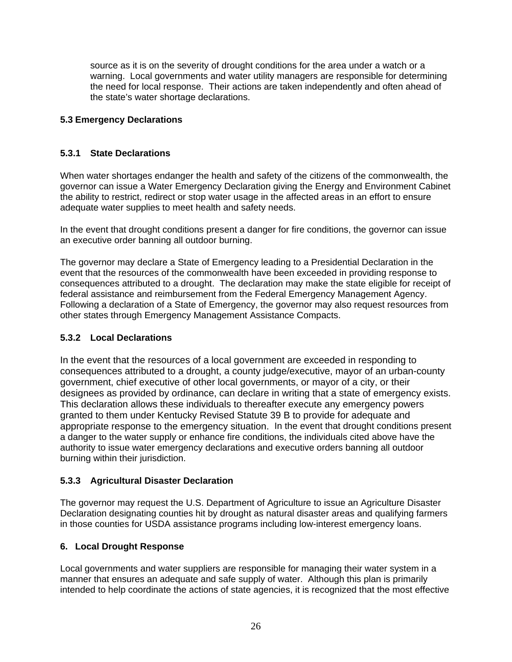source as it is on the severity of drought conditions for the area under a watch or a warning. Local governments and water utility managers are responsible for determining the need for local response. Their actions are taken independently and often ahead of the state's water shortage declarations.

## **5.3 Emergency Declarations**

## **5.3.1 State Declarations**

When water shortages endanger the health and safety of the citizens of the commonwealth, the governor can issue a Water Emergency Declaration giving the Energy and Environment Cabinet the ability to restrict, redirect or stop water usage in the affected areas in an effort to ensure adequate water supplies to meet health and safety needs.

In the event that drought conditions present a danger for fire conditions, the governor can issue an executive order banning all outdoor burning.

The governor may declare a State of Emergency leading to a Presidential Declaration in the event that the resources of the commonwealth have been exceeded in providing response to consequences attributed to a drought. The declaration may make the state eligible for receipt of federal assistance and reimbursement from the Federal Emergency Management Agency. Following a declaration of a State of Emergency, the governor may also request resources from other states through Emergency Management Assistance Compacts.

## **5.3.2 Local Declarations**

In the event that the resources of a local government are exceeded in responding to consequences attributed to a drought, a county judge/executive, mayor of an urban-county government, chief executive of other local governments, or mayor of a city, or their designees as provided by ordinance, can declare in writing that a state of emergency exists. This declaration allows these individuals to thereafter execute any emergency powers granted to them under Kentucky Revised Statute 39 B to provide for adequate and appropriate response to the emergency situation. In the event that drought conditions present a danger to the water supply or enhance fire conditions, the individuals cited above have the authority to issue water emergency declarations and executive orders banning all outdoor burning within their jurisdiction.

## **5.3.3 Agricultural Disaster Declaration**

The governor may request the U.S. Department of Agriculture to issue an Agriculture Disaster Declaration designating counties hit by drought as natural disaster areas and qualifying farmers in those counties for USDA assistance programs including low-interest emergency loans.

## **6. Local Drought Response**

Local governments and water suppliers are responsible for managing their water system in a manner that ensures an adequate and safe supply of water. Although this plan is primarily intended to help coordinate the actions of state agencies, it is recognized that the most effective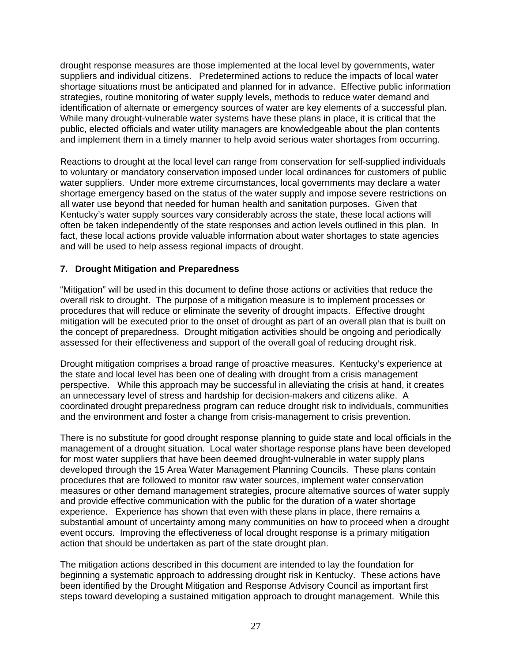drought response measures are those implemented at the local level by governments, water suppliers and individual citizens. Predetermined actions to reduce the impacts of local water shortage situations must be anticipated and planned for in advance. Effective public information strategies, routine monitoring of water supply levels, methods to reduce water demand and identification of alternate or emergency sources of water are key elements of a successful plan. While many drought-vulnerable water systems have these plans in place, it is critical that the public, elected officials and water utility managers are knowledgeable about the plan contents and implement them in a timely manner to help avoid serious water shortages from occurring.

Reactions to drought at the local level can range from conservation for self-supplied individuals to voluntary or mandatory conservation imposed under local ordinances for customers of public water suppliers. Under more extreme circumstances, local governments may declare a water shortage emergency based on the status of the water supply and impose severe restrictions on all water use beyond that needed for human health and sanitation purposes. Given that Kentucky's water supply sources vary considerably across the state, these local actions will often be taken independently of the state responses and action levels outlined in this plan. In fact, these local actions provide valuable information about water shortages to state agencies and will be used to help assess regional impacts of drought.

#### **7. Drought Mitigation and Preparedness**

"Mitigation" will be used in this document to define those actions or activities that reduce the overall risk to drought. The purpose of a mitigation measure is to implement processes or procedures that will reduce or eliminate the severity of drought impacts. Effective drought mitigation will be executed prior to the onset of drought as part of an overall plan that is built on the concept of preparedness. Drought mitigation activities should be ongoing and periodically assessed for their effectiveness and support of the overall goal of reducing drought risk.

Drought mitigation comprises a broad range of proactive measures. Kentucky's experience at the state and local level has been one of dealing with drought from a crisis management perspective. While this approach may be successful in alleviating the crisis at hand, it creates an unnecessary level of stress and hardship for decision-makers and citizens alike. A coordinated drought preparedness program can reduce drought risk to individuals, communities and the environment and foster a change from crisis-management to crisis prevention.

There is no substitute for good drought response planning to guide state and local officials in the management of a drought situation. Local water shortage response plans have been developed for most water suppliers that have been deemed drought-vulnerable in water supply plans developed through the 15 Area Water Management Planning Councils. These plans contain procedures that are followed to monitor raw water sources, implement water conservation measures or other demand management strategies, procure alternative sources of water supply and provide effective communication with the public for the duration of a water shortage experience. Experience has shown that even with these plans in place, there remains a substantial amount of uncertainty among many communities on how to proceed when a drought event occurs. Improving the effectiveness of local drought response is a primary mitigation action that should be undertaken as part of the state drought plan.

The mitigation actions described in this document are intended to lay the foundation for beginning a systematic approach to addressing drought risk in Kentucky. These actions have been identified by the Drought Mitigation and Response Advisory Council as important first steps toward developing a sustained mitigation approach to drought management. While this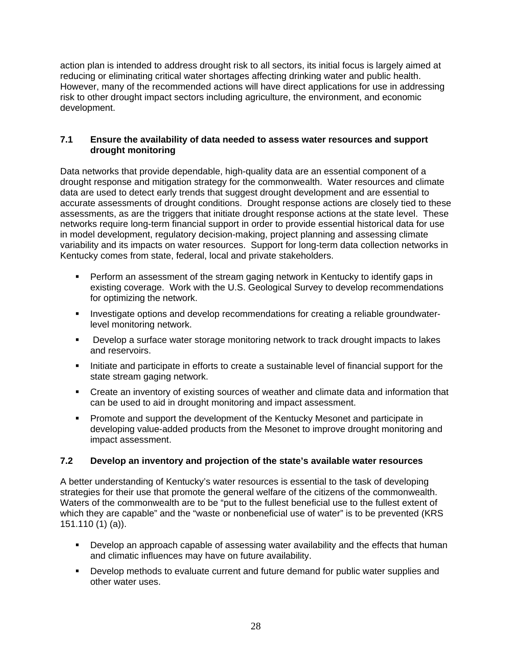action plan is intended to address drought risk to all sectors, its initial focus is largely aimed at reducing or eliminating critical water shortages affecting drinking water and public health. However, many of the recommended actions will have direct applications for use in addressing risk to other drought impact sectors including agriculture, the environment, and economic development.

#### **7.1 Ensure the availability of data needed to assess water resources and support drought monitoring**

Data networks that provide dependable, high-quality data are an essential component of a drought response and mitigation strategy for the commonwealth. Water resources and climate data are used to detect early trends that suggest drought development and are essential to accurate assessments of drought conditions. Drought response actions are closely tied to these assessments, as are the triggers that initiate drought response actions at the state level. These networks require long-term financial support in order to provide essential historical data for use in model development, regulatory decision-making, project planning and assessing climate variability and its impacts on water resources. Support for long-term data collection networks in Kentucky comes from state, federal, local and private stakeholders.

- Perform an assessment of the stream gaging network in Kentucky to identify gaps in existing coverage. Work with the U.S. Geological Survey to develop recommendations for optimizing the network.
- **Investigate options and develop recommendations for creating a reliable groundwater**level monitoring network.
- Develop a surface water storage monitoring network to track drought impacts to lakes and reservoirs.
- Initiate and participate in efforts to create a sustainable level of financial support for the state stream gaging network.
- Create an inventory of existing sources of weather and climate data and information that can be used to aid in drought monitoring and impact assessment.
- **Promote and support the development of the Kentucky Mesonet and participate in** developing value-added products from the Mesonet to improve drought monitoring and impact assessment.

#### **7.2 Develop an inventory and projection of the state's available water resources**

A better understanding of Kentucky's water resources is essential to the task of developing strategies for their use that promote the general welfare of the citizens of the commonwealth. Waters of the commonwealth are to be "put to the fullest beneficial use to the fullest extent of which they are capable" and the "waste or nonbeneficial use of water" is to be prevented (KRS 151.110 (1) (a)).

- Develop an approach capable of assessing water availability and the effects that human and climatic influences may have on future availability.
- **Develop methods to evaluate current and future demand for public water supplies and** other water uses.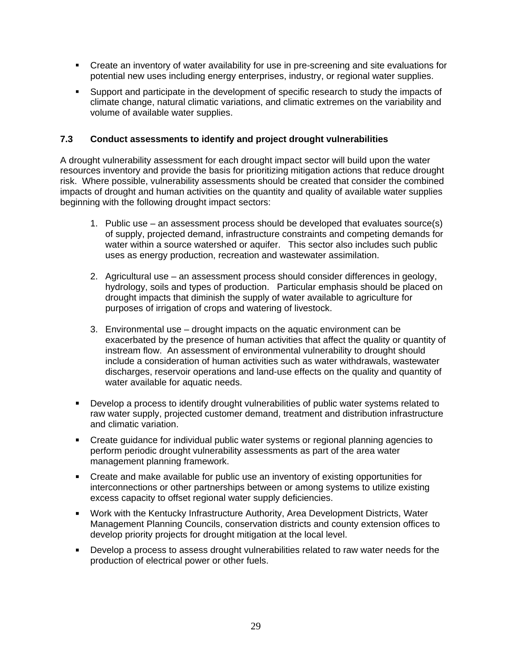- Create an inventory of water availability for use in pre-screening and site evaluations for potential new uses including energy enterprises, industry, or regional water supplies.
- **Support and participate in the development of specific research to study the impacts of** climate change, natural climatic variations, and climatic extremes on the variability and volume of available water supplies.

#### **7.3 Conduct assessments to identify and project drought vulnerabilities**

A drought vulnerability assessment for each drought impact sector will build upon the water resources inventory and provide the basis for prioritizing mitigation actions that reduce drought risk. Where possible, vulnerability assessments should be created that consider the combined impacts of drought and human activities on the quantity and quality of available water supplies beginning with the following drought impact sectors:

- 1. Public use an assessment process should be developed that evaluates source(s) of supply, projected demand, infrastructure constraints and competing demands for water within a source watershed or aquifer. This sector also includes such public uses as energy production, recreation and wastewater assimilation.
- 2. Agricultural use an assessment process should consider differences in geology, hydrology, soils and types of production. Particular emphasis should be placed on drought impacts that diminish the supply of water available to agriculture for purposes of irrigation of crops and watering of livestock.
- 3. Environmental use drought impacts on the aquatic environment can be exacerbated by the presence of human activities that affect the quality or quantity of instream flow. An assessment of environmental vulnerability to drought should include a consideration of human activities such as water withdrawals, wastewater discharges, reservoir operations and land-use effects on the quality and quantity of water available for aquatic needs.
- Develop a process to identify drought vulnerabilities of public water systems related to raw water supply, projected customer demand, treatment and distribution infrastructure and climatic variation.
- Create guidance for individual public water systems or regional planning agencies to perform periodic drought vulnerability assessments as part of the area water management planning framework.
- Create and make available for public use an inventory of existing opportunities for interconnections or other partnerships between or among systems to utilize existing excess capacity to offset regional water supply deficiencies.
- Work with the Kentucky Infrastructure Authority, Area Development Districts, Water Management Planning Councils, conservation districts and county extension offices to develop priority projects for drought mitigation at the local level.
- **Develop a process to assess drought vulnerabilities related to raw water needs for the** production of electrical power or other fuels.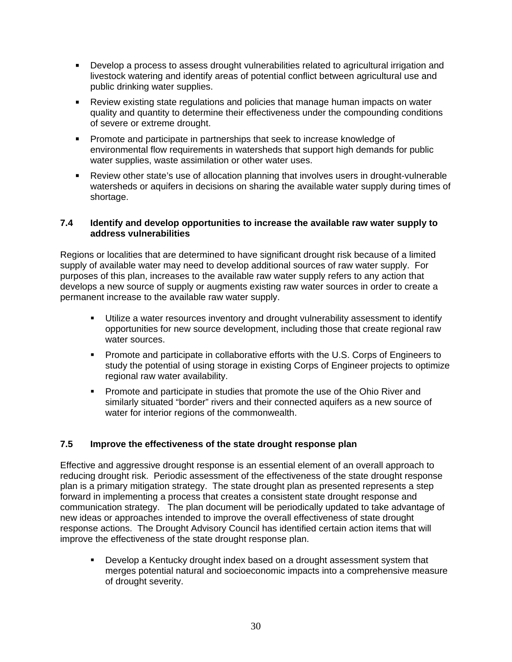- Develop a process to assess drought vulnerabilities related to agricultural irrigation and livestock watering and identify areas of potential conflict between agricultural use and public drinking water supplies.
- Review existing state regulations and policies that manage human impacts on water quality and quantity to determine their effectiveness under the compounding conditions of severe or extreme drought.
- **Promote and participate in partnerships that seek to increase knowledge of** environmental flow requirements in watersheds that support high demands for public water supplies, waste assimilation or other water uses.
- Review other state's use of allocation planning that involves users in drought-vulnerable watersheds or aquifers in decisions on sharing the available water supply during times of shortage.

#### **7.4 Identify and develop opportunities to increase the available raw water supply to address vulnerabilities**

Regions or localities that are determined to have significant drought risk because of a limited supply of available water may need to develop additional sources of raw water supply. For purposes of this plan, increases to the available raw water supply refers to any action that develops a new source of supply or augments existing raw water sources in order to create a permanent increase to the available raw water supply.

- Utilize a water resources inventory and drought vulnerability assessment to identify opportunities for new source development, including those that create regional raw water sources.
- Promote and participate in collaborative efforts with the U.S. Corps of Engineers to study the potential of using storage in existing Corps of Engineer projects to optimize regional raw water availability.
- **Promote and participate in studies that promote the use of the Ohio River and** similarly situated "border" rivers and their connected aquifers as a new source of water for interior regions of the commonwealth.

## **7.5 Improve the effectiveness of the state drought response plan**

Effective and aggressive drought response is an essential element of an overall approach to reducing drought risk. Periodic assessment of the effectiveness of the state drought response plan is a primary mitigation strategy. The state drought plan as presented represents a step forward in implementing a process that creates a consistent state drought response and communication strategy. The plan document will be periodically updated to take advantage of new ideas or approaches intended to improve the overall effectiveness of state drought response actions. The Drought Advisory Council has identified certain action items that will improve the effectiveness of the state drought response plan.

 Develop a Kentucky drought index based on a drought assessment system that merges potential natural and socioeconomic impacts into a comprehensive measure of drought severity.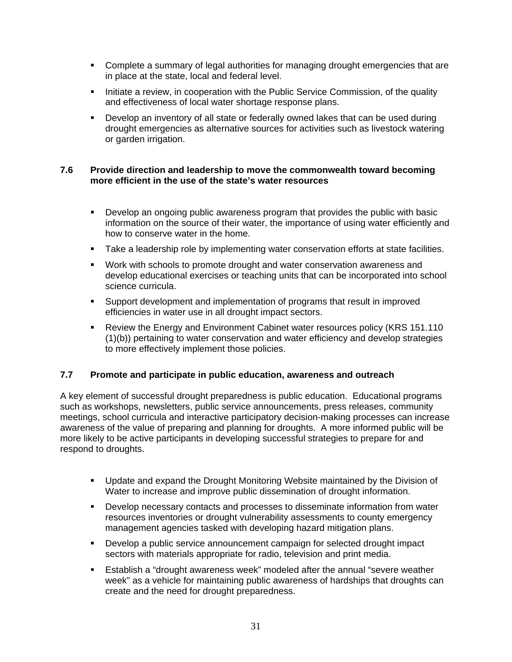- Complete a summary of legal authorities for managing drought emergencies that are in place at the state, local and federal level.
- Initiate a review, in cooperation with the Public Service Commission, of the quality and effectiveness of local water shortage response plans.
- Develop an inventory of all state or federally owned lakes that can be used during drought emergencies as alternative sources for activities such as livestock watering or garden irrigation.

#### **7.6 Provide direction and leadership to move the commonwealth toward becoming more efficient in the use of the state's water resources**

- Develop an ongoing public awareness program that provides the public with basic information on the source of their water, the importance of using water efficiently and how to conserve water in the home.
- **Take a leadership role by implementing water conservation efforts at state facilities.**
- Work with schools to promote drought and water conservation awareness and develop educational exercises or teaching units that can be incorporated into school science curricula.
- Support development and implementation of programs that result in improved efficiencies in water use in all drought impact sectors.
- Review the Energy and Environment Cabinet water resources policy (KRS 151.110 (1)(b)) pertaining to water conservation and water efficiency and develop strategies to more effectively implement those policies.

#### **7.7 Promote and participate in public education, awareness and outreach**

A key element of successful drought preparedness is public education. Educational programs such as workshops, newsletters, public service announcements, press releases, community meetings, school curricula and interactive participatory decision-making processes can increase awareness of the value of preparing and planning for droughts. A more informed public will be more likely to be active participants in developing successful strategies to prepare for and respond to droughts.

- Update and expand the Drought Monitoring Website maintained by the Division of Water to increase and improve public dissemination of drought information.
- Develop necessary contacts and processes to disseminate information from water resources inventories or drought vulnerability assessments to county emergency management agencies tasked with developing hazard mitigation plans.
- Develop a public service announcement campaign for selected drought impact sectors with materials appropriate for radio, television and print media.
- Establish a "drought awareness week" modeled after the annual "severe weather week" as a vehicle for maintaining public awareness of hardships that droughts can create and the need for drought preparedness.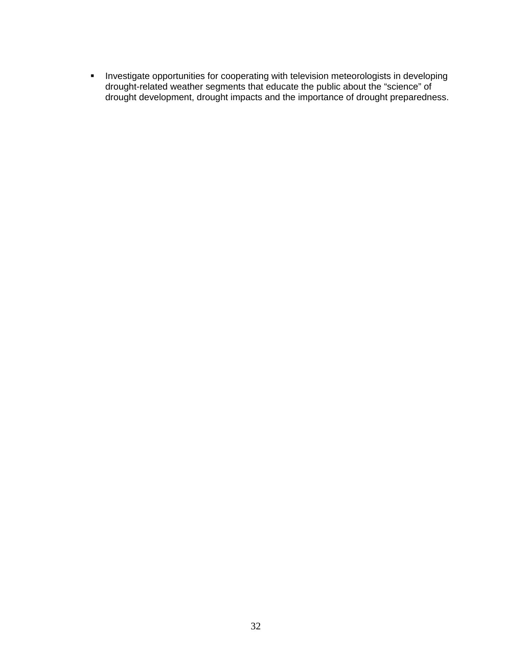**Investigate opportunities for cooperating with television meteorologists in developing** drought-related weather segments that educate the public about the "science" of drought development, drought impacts and the importance of drought preparedness.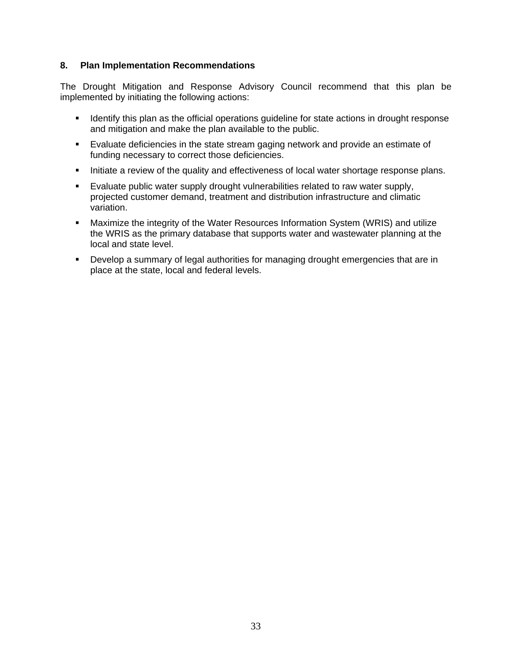#### **8. Plan Implementation Recommendations**

The Drought Mitigation and Response Advisory Council recommend that this plan be implemented by initiating the following actions:

- I dentify this plan as the official operations quideline for state actions in drought response and mitigation and make the plan available to the public.
- Evaluate deficiencies in the state stream gaging network and provide an estimate of funding necessary to correct those deficiencies.
- Initiate a review of the quality and effectiveness of local water shortage response plans.
- **Evaluate public water supply drought vulnerabilities related to raw water supply,** projected customer demand, treatment and distribution infrastructure and climatic variation.
- Maximize the integrity of the Water Resources Information System (WRIS) and utilize the WRIS as the primary database that supports water and wastewater planning at the local and state level.
- Develop a summary of legal authorities for managing drought emergencies that are in place at the state, local and federal levels.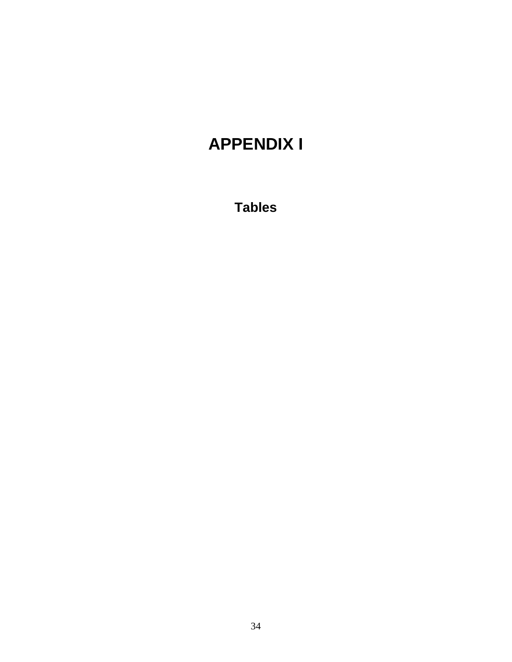## **APPENDIX I**

**Tables**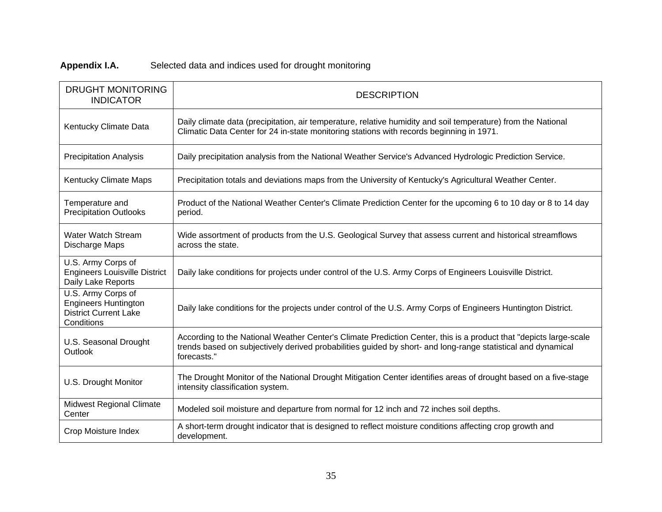## **Appendix I.A.** Selected data and indices used for drought monitoring

| <b>DRUGHT MONITORING</b><br><b>INDICATOR</b>                                                    | <b>DESCRIPTION</b>                                                                                                                                                                                                                               |
|-------------------------------------------------------------------------------------------------|--------------------------------------------------------------------------------------------------------------------------------------------------------------------------------------------------------------------------------------------------|
| Kentucky Climate Data                                                                           | Daily climate data (precipitation, air temperature, relative humidity and soil temperature) from the National<br>Climatic Data Center for 24 in-state monitoring stations with records beginning in 1971.                                        |
| <b>Precipitation Analysis</b>                                                                   | Daily precipitation analysis from the National Weather Service's Advanced Hydrologic Prediction Service.                                                                                                                                         |
| Kentucky Climate Maps                                                                           | Precipitation totals and deviations maps from the University of Kentucky's Agricultural Weather Center.                                                                                                                                          |
| Temperature and<br><b>Precipitation Outlooks</b>                                                | Product of the National Weather Center's Climate Prediction Center for the upcoming 6 to 10 day or 8 to 14 day<br>period.                                                                                                                        |
| Water Watch Stream<br>Discharge Maps                                                            | Wide assortment of products from the U.S. Geological Survey that assess current and historical streamflows<br>across the state.                                                                                                                  |
| U.S. Army Corps of<br><b>Engineers Louisville District</b><br>Daily Lake Reports                | Daily lake conditions for projects under control of the U.S. Army Corps of Engineers Louisville District.                                                                                                                                        |
| U.S. Army Corps of<br><b>Engineers Huntington</b><br><b>District Current Lake</b><br>Conditions | Daily lake conditions for the projects under control of the U.S. Army Corps of Engineers Huntington District.                                                                                                                                    |
| U.S. Seasonal Drought<br>Outlook                                                                | According to the National Weather Center's Climate Prediction Center, this is a product that "depicts large-scale<br>trends based on subjectively derived probabilities guided by short- and long-range statistical and dynamical<br>forecasts." |
| U.S. Drought Monitor                                                                            | The Drought Monitor of the National Drought Mitigation Center identifies areas of drought based on a five-stage<br>intensity classification system.                                                                                              |
| <b>Midwest Regional Climate</b><br>Center                                                       | Modeled soil moisture and departure from normal for 12 inch and 72 inches soil depths.                                                                                                                                                           |
| Crop Moisture Index                                                                             | A short-term drought indicator that is designed to reflect moisture conditions affecting crop growth and<br>development.                                                                                                                         |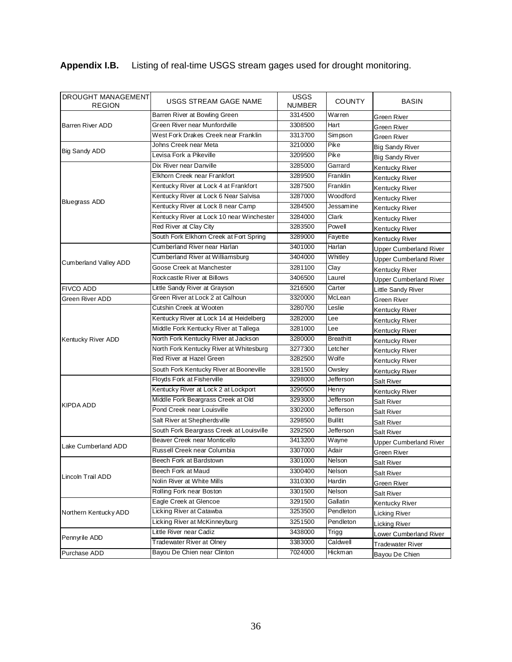## **Appendix I.B.** Listing of real-time USGS stream gages used for drought monitoring.

| DROUGHT MANAGEMENT<br><b>REGION</b> | USGS STREAM GAGE NAME                     | <b>USGS</b><br><b>NUMBER</b> | <b>COUNTY</b>    | <b>BASIN</b>                  |
|-------------------------------------|-------------------------------------------|------------------------------|------------------|-------------------------------|
|                                     | Barren River at Bowling Green             | 3314500                      | Warren           | Green River                   |
| <b>Barren River ADD</b>             | Green River near Munfordville             | 3308500                      | Hart             | Green River                   |
|                                     | West Fork Drakes Creek near Franklin      | 3313700                      | Simpson          | Green River                   |
|                                     | Johns Creek near Meta                     | 3210000                      | Pike             | Big Sandy River               |
| Big Sandy ADD                       | Levisa Fork a Pikeville                   | 3209500                      | Pike             | Big Sandy River               |
|                                     | Dix River near Danville                   | 3285000                      | Garrard          | Kentucky River                |
|                                     | Elkhorn Creek near Frankfort              | 3289500                      | Franklin         | Kentucky River                |
|                                     | Kentucky River at Lock 4 at Frankfort     | 3287500                      | Franklin         | Kentucky River                |
|                                     | Kentucky River at Lock 6 Near Salvisa     | 3287000                      | Woodford         | Kentucky River                |
| <b>Bluegrass ADD</b>                | Kentucky River at Lock 8 near Camp        | 3284500                      | Jessamine        | Kentucky River                |
|                                     | Kentucky River at Lock 10 near Winchester | 3284000                      | Clark            | Kentucky River                |
|                                     | Red River at Clay City                    | 3283500                      | Powell           | Kentucky River                |
|                                     | South Fork Elkhorn Creek at Fort Spring   | 3289000                      | Fayette          | Kentucky River                |
|                                     | Cumberland River near Harlan              | 3401000                      | Harlan           | Upper Cumberland River        |
|                                     | Cumberland River at Williamsburg          | 3404000                      | Whitley          | <b>Upper Cumberland River</b> |
| Cumberland Valley ADD               | Goose Creek at Manchester                 | 3281100                      | Clay             | Kentucky River                |
|                                     | Rockcastle River at Billows               | 3406500                      | Laurel           | <b>Upper Cumberland River</b> |
| <b>FIVCO ADD</b>                    | Little Sandy River at Grayson             | 3216500                      | Carter           | Little Sandy River            |
| Green River ADD                     | Green River at Lock 2 at Calhoun          | 3320000                      | McLean           | Green River                   |
|                                     | Cutshin Creek at Wooten                   | 3280700                      | Leslie           | Kentucky River                |
|                                     | Kentucky River at Lock 14 at Heidelberg   | 3282000                      | Lee              | Kentucky River                |
|                                     | Middle Fork Kentucky River at Tallega     | 3281000                      | Lee              | Kentucky River                |
| Kentucky River ADD                  | North Fork Kentucky River at Jackson      | 3280000                      | <b>Breathitt</b> | Kentucky River                |
|                                     | North Fork Kentucky River at Whitesburg   | 3277300                      | Letcher          | Kentucky River                |
|                                     | Red River at Hazel Green                  | 3282500                      | Wolfe            | Kentucky River                |
|                                     | South Fork Kentucky River at Booneville   | 3281500                      | Owsley           | Kentucky River                |
|                                     | Floyds Fork at Fisherville                | 3298000                      | Jefferson        | <b>Salt River</b>             |
|                                     | Kentucky River at Lock 2 at Lockport      | 3290500                      | Henry            | Kentucky River                |
|                                     | Middle Fork Beargrass Creek at Old        | 3293000                      | Jefferson        | Salt River                    |
| <b>KIPDA ADD</b>                    | Pond Creek near Louisville                | 3302000                      | Jefferson        | Salt River                    |
|                                     | Salt River at Shepherds ville             | 3298500                      | <b>Bullitt</b>   | Salt River                    |
|                                     | South Fork Beargrass Creek at Louisville  | 3292500                      | Jefferson        | Salt River                    |
|                                     | Beaver Creek near Monticello              | 3413200                      | Wayne            | <b>Upper Cumberland River</b> |
| Lake Cumberland ADD                 | Russell Creek near Columbia               | 3307000                      | Adair            | Green River                   |
|                                     | Beech Fork at Bardstown                   | 3301000                      | Nelson           | <b>Salt River</b>             |
|                                     | Beech Fork at Maud                        | 3300400                      | Nelson           | Salt River                    |
| Lincoln Trail ADD                   | Nolin River at White Mills                | 3310300                      | Hardin           | Green River                   |
|                                     | Rolling Fork near Boston                  | 3301500                      | Nelson           | Salt River                    |
|                                     | Eagle Creek at Glencoe                    | 3291500                      | Gallatin         | Kentucky River                |
| Northern Kentucky ADD               | Licking River at Catawba                  | 3253500                      | Pendleton        | Licking River                 |
|                                     | Licking River at McKinneyburg             | 3251500                      | Pendleton        | Licking River                 |
|                                     | Little River near Cadiz                   | 3438000                      | Trigg            | Lower Cumberland River        |
| Pennyrile ADD                       | Tradewater River at Olney                 | 3383000                      | Caldwell         | <b>Tradewater River</b>       |
| Purchase ADD                        | Bayou De Chien near Clinton               | 7024000                      | Hickman          | Bayou De Chien                |
|                                     |                                           |                              |                  |                               |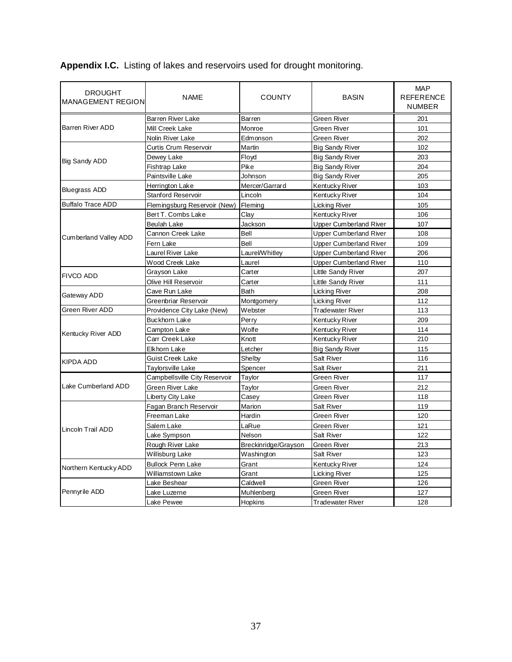**Appendix I.C.** Listing of lakes and reservoirs used for drought monitoring.

| <b>DROUGHT</b><br><b>MANAGEMENT REGION</b> | <b>NAME</b>                   | <b>COUNTY</b>        | <b>BASIN</b>                  | <b>MAP</b><br><b>REFERENCE</b><br><b>NUMBER</b> |
|--------------------------------------------|-------------------------------|----------------------|-------------------------------|-------------------------------------------------|
|                                            | Barren River Lake             | Barren               | Green River                   | 201                                             |
| <b>Barren River ADD</b>                    | Mill Creek Lake               | Monroe               | Green River                   | 101                                             |
|                                            | Nolin River Lake              | Edmonson             | Green River                   | 202                                             |
|                                            | Curtis Crum Reservoir         | Martin               | <b>Big Sandy River</b>        | 102                                             |
| <b>Big Sandy ADD</b>                       | Dewey Lake                    | Floyd                | <b>Big Sandy River</b>        | 203                                             |
|                                            | Fishtrap Lake                 | Pike                 | <b>Big Sandy River</b>        | 204                                             |
|                                            | Paintsville Lake              | Johnson              | <b>Big Sandy River</b>        | 205                                             |
| <b>Bluegrass ADD</b>                       | Herrington Lake               | Mercer/Garrard       | Kentucky River                | 103                                             |
|                                            | Stanford Reservoir            | Lincoln              | Kentucky River                | 104                                             |
| <b>Buffalo Trace ADD</b>                   | Flemingsburg Reservoir (New)  | Fleming              | Licking River                 | 105                                             |
|                                            | Bert T. Combs Lake            | Clay                 | Kentucky River                | 106                                             |
|                                            | Beulah Lake                   | Jackson              | <b>Upper Cumberland River</b> | 107                                             |
| <b>Cumberland Valley ADD</b>               | Cannon Creek Lake             | Bell                 | <b>Upper Cumberland River</b> | 108                                             |
|                                            | Fern Lake                     | Bell                 | Upper Cumberland River        | 109                                             |
|                                            | Laurel River Lake             | Laurel/Whitley       | <b>Upper Cumberland River</b> | 206                                             |
|                                            | Wood Creek Lake               | Laurel               | Upper Cumberland River        | 110                                             |
|                                            | Grayson Lake                  | Carter               | Little Sandy River            | 207                                             |
| <b>FIVCO ADD</b>                           | Olive Hill Reservoir          | Carter               | Little Sandy River            | 111                                             |
|                                            | Cave Run Lake                 | Bath                 | Licking River                 | 208                                             |
| Gateway ADD                                | Greenbriar Reservoir          | Montgomery           | <b>Licking River</b>          | 112                                             |
| <b>Green River ADD</b>                     | Providence City Lake (New)    | Webster              | <b>Tradewater River</b>       | 113                                             |
|                                            | <b>Buckhorn Lake</b>          | Perry                | Kentucky River                | 209                                             |
|                                            | Campton Lake                  | Wolfe                | Kentucky River                | 114                                             |
| Kentucky River ADD                         | Carr Creek Lake               | Knott                | Kentucky River                | 210                                             |
|                                            | Elkhorn Lake                  | Letcher              | <b>Big Sandy River</b>        | 115                                             |
|                                            | <b>Guist Creek Lake</b>       | Shelby               | Salt River                    | 116                                             |
| <b>KIPDA ADD</b>                           | Taylorsville Lake             | Spencer              | Salt River                    | 211                                             |
|                                            | Campbellsville City Reservoir | Taylor               | Green River                   | 117                                             |
| Lake Cumberland ADD                        | Green River Lake              | Taylor               | Green River                   | 212                                             |
|                                            | Liberty City Lake             | Casey                | <b>Green River</b>            | 118                                             |
|                                            | Fagan Branch Reservoir        | Marion               | Salt River                    | 119                                             |
|                                            | Freeman Lake                  | Hardin               | Green River                   | 120                                             |
|                                            | Salem Lake                    | LaRue                | Green River                   | 121                                             |
| Lincoln Trail ADD                          | Lake Sympson                  | Nelson               | Salt River                    | 122                                             |
|                                            | Rough River Lake              | Breckinridge/Grayson | Green River                   | 213                                             |
|                                            | Willisburg Lake               | Washington           | Salt River                    | 123                                             |
|                                            | <b>Bullock Penn Lake</b>      | Grant                | Kentucky River                | 124                                             |
| Northern Kentucky ADD                      | Williamstown Lake             | Grant                | <b>Licking River</b>          | 125                                             |
|                                            | Lake Beshear                  | Caldwell             | Green River                   | 126                                             |
| Pennyrile ADD                              | Lake Luzerne                  | Muhlenberg           | <b>Green River</b>            | 127                                             |
|                                            | Lake Pewee                    | Hopkins              | <b>Tradewater River</b>       | 128                                             |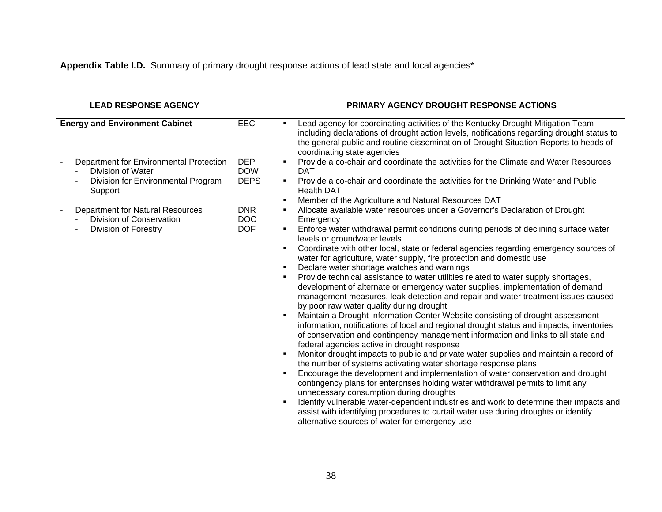**Appendix Table I.D.** Summary of primary drought response actions of lead state and local agencies\*

| <b>LEAD RESPONSE AGENCY</b>                                                                                                                                                                                                                           |                                                                                                 | PRIMARY AGENCY DROUGHT RESPONSE ACTIONS                                                                                                                                                                                                                                                                                                                                                                                                                                                                                                                                                                                                                                                                                                                                                                                                                                                                                                                                                                                                                                                                                                                                                                                                                                                                                                                                                                                                                                                                                                                                                                                                                                                                                                                                                                                                                                                                                                                                                                                                                                                                                                                                                                                                                                                         |
|-------------------------------------------------------------------------------------------------------------------------------------------------------------------------------------------------------------------------------------------------------|-------------------------------------------------------------------------------------------------|-------------------------------------------------------------------------------------------------------------------------------------------------------------------------------------------------------------------------------------------------------------------------------------------------------------------------------------------------------------------------------------------------------------------------------------------------------------------------------------------------------------------------------------------------------------------------------------------------------------------------------------------------------------------------------------------------------------------------------------------------------------------------------------------------------------------------------------------------------------------------------------------------------------------------------------------------------------------------------------------------------------------------------------------------------------------------------------------------------------------------------------------------------------------------------------------------------------------------------------------------------------------------------------------------------------------------------------------------------------------------------------------------------------------------------------------------------------------------------------------------------------------------------------------------------------------------------------------------------------------------------------------------------------------------------------------------------------------------------------------------------------------------------------------------------------------------------------------------------------------------------------------------------------------------------------------------------------------------------------------------------------------------------------------------------------------------------------------------------------------------------------------------------------------------------------------------------------------------------------------------------------------------------------------------|
| <b>Energy and Environment Cabinet</b><br>Department for Environmental Protection<br>Division of Water<br>Division for Environmental Program<br>Support<br>Department for Natural Resources<br>Division of Conservation<br><b>Division of Forestry</b> | <b>EEC</b><br><b>DEP</b><br><b>DOW</b><br><b>DEPS</b><br><b>DNR</b><br><b>DOC</b><br><b>DOF</b> | Lead agency for coordinating activities of the Kentucky Drought Mitigation Team<br>including declarations of drought action levels, notifications regarding drought status to<br>the general public and routine dissemination of Drought Situation Reports to heads of<br>coordinating state agencies<br>Provide a co-chair and coordinate the activities for the Climate and Water Resources<br>$\blacksquare$<br><b>DAT</b><br>Provide a co-chair and coordinate the activities for the Drinking Water and Public<br>$\blacksquare$<br><b>Health DAT</b><br>Member of the Agriculture and Natural Resources DAT<br>Allocate available water resources under a Governor's Declaration of Drought<br>Emergency<br>Enforce water withdrawal permit conditions during periods of declining surface water<br>levels or groundwater levels<br>Coordinate with other local, state or federal agencies regarding emergency sources of<br>water for agriculture, water supply, fire protection and domestic use<br>Declare water shortage watches and warnings<br>Provide technical assistance to water utilities related to water supply shortages,<br>development of alternate or emergency water supplies, implementation of demand<br>management measures, leak detection and repair and water treatment issues caused<br>by poor raw water quality during drought<br>Maintain a Drought Information Center Website consisting of drought assessment<br>information, notifications of local and regional drought status and impacts, inventories<br>of conservation and contingency management information and links to all state and<br>federal agencies active in drought response<br>Monitor drought impacts to public and private water supplies and maintain a record of<br>the number of systems activating water shortage response plans<br>Encourage the development and implementation of water conservation and drought<br>contingency plans for enterprises holding water withdrawal permits to limit any<br>unnecessary consumption during droughts<br>Identify vulnerable water-dependent industries and work to determine their impacts and<br>assist with identifying procedures to curtail water use during droughts or identify<br>alternative sources of water for emergency use |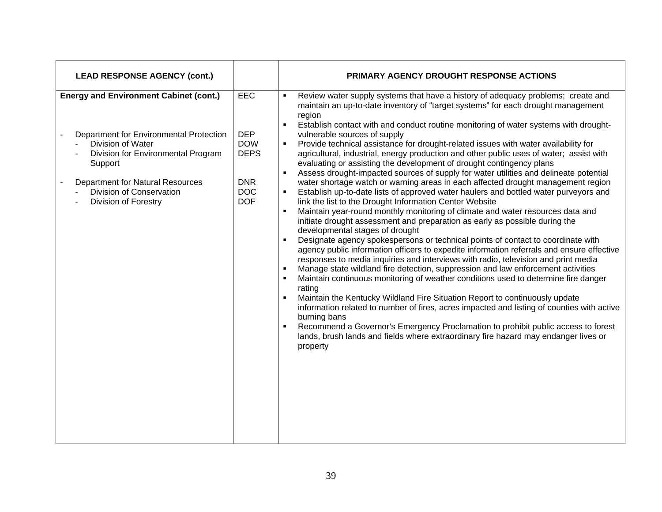| <b>LEAD RESPONSE AGENCY (cont.)</b>                                                                                                                                                                                                                           |                                                                                          | PRIMARY AGENCY DROUGHT RESPONSE ACTIONS                                                                                                                                                                                                                                                                                                                                                                                                                                                                                                                                                                                                                                                                                                                                                                                                                                                                                                                                                                                                                                                                                                                                                                                                                                                                                                                                                                                                                                                                                                                                                                                                                                                                                                                                                                                                                                                                                                                                                                                                |
|---------------------------------------------------------------------------------------------------------------------------------------------------------------------------------------------------------------------------------------------------------------|------------------------------------------------------------------------------------------|----------------------------------------------------------------------------------------------------------------------------------------------------------------------------------------------------------------------------------------------------------------------------------------------------------------------------------------------------------------------------------------------------------------------------------------------------------------------------------------------------------------------------------------------------------------------------------------------------------------------------------------------------------------------------------------------------------------------------------------------------------------------------------------------------------------------------------------------------------------------------------------------------------------------------------------------------------------------------------------------------------------------------------------------------------------------------------------------------------------------------------------------------------------------------------------------------------------------------------------------------------------------------------------------------------------------------------------------------------------------------------------------------------------------------------------------------------------------------------------------------------------------------------------------------------------------------------------------------------------------------------------------------------------------------------------------------------------------------------------------------------------------------------------------------------------------------------------------------------------------------------------------------------------------------------------------------------------------------------------------------------------------------------------|
| <b>Energy and Environment Cabinet (cont.)</b><br>Department for Environmental Protection<br>Division of Water<br>Division for Environmental Program<br>Support<br><b>Department for Natural Resources</b><br>Division of Conservation<br>Division of Forestry | EEC<br><b>DEP</b><br><b>DOW</b><br><b>DEPS</b><br><b>DNR</b><br><b>DOC</b><br><b>DOF</b> | Review water supply systems that have a history of adequacy problems; create and<br>٠<br>maintain an up-to-date inventory of "target systems" for each drought management<br>region<br>Establish contact with and conduct routine monitoring of water systems with drought-<br>$\blacksquare$<br>vulnerable sources of supply<br>Provide technical assistance for drought-related issues with water availability for<br>٠<br>agricultural, industrial, energy production and other public uses of water; assist with<br>evaluating or assisting the development of drought contingency plans<br>Assess drought-impacted sources of supply for water utilities and delineate potential<br>water shortage watch or warning areas in each affected drought management region<br>Establish up-to-date lists of approved water haulers and bottled water purveyors and<br>link the list to the Drought Information Center Website<br>Maintain year-round monthly monitoring of climate and water resources data and<br>$\blacksquare$<br>initiate drought assessment and preparation as early as possible during the<br>developmental stages of drought<br>Designate agency spokespersons or technical points of contact to coordinate with<br>$\blacksquare$<br>agency public information officers to expedite information referrals and ensure effective<br>responses to media inquiries and interviews with radio, television and print media<br>Manage state wildland fire detection, suppression and law enforcement activities<br>$\blacksquare$<br>Maintain continuous monitoring of weather conditions used to determine fire danger<br>rating<br>Maintain the Kentucky Wildland Fire Situation Report to continuously update<br>information related to number of fires, acres impacted and listing of counties with active<br>burning bans<br>Recommend a Governor's Emergency Proclamation to prohibit public access to forest<br>lands, brush lands and fields where extraordinary fire hazard may endanger lives or<br>property |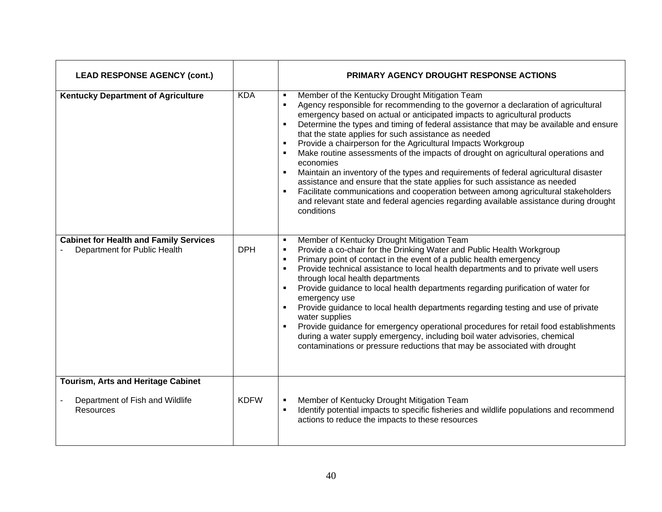| <b>LEAD RESPONSE AGENCY (cont.)</b>                                                |             | <b>PRIMARY AGENCY DROUGHT RESPONSE ACTIONS</b>                                                                                                                                                                                                                                                                                                                                                                                                                                                                                                                                                                                                                                                                                                                                                                                                                                                                                            |
|------------------------------------------------------------------------------------|-------------|-------------------------------------------------------------------------------------------------------------------------------------------------------------------------------------------------------------------------------------------------------------------------------------------------------------------------------------------------------------------------------------------------------------------------------------------------------------------------------------------------------------------------------------------------------------------------------------------------------------------------------------------------------------------------------------------------------------------------------------------------------------------------------------------------------------------------------------------------------------------------------------------------------------------------------------------|
| <b>Kentucky Department of Agriculture</b>                                          | <b>KDA</b>  | Member of the Kentucky Drought Mitigation Team<br>$\blacksquare$<br>Agency responsible for recommending to the governor a declaration of agricultural<br>$\blacksquare$<br>emergency based on actual or anticipated impacts to agricultural products<br>Determine the types and timing of federal assistance that may be available and ensure<br>that the state applies for such assistance as needed<br>Provide a chairperson for the Agricultural Impacts Workgroup<br>Make routine assessments of the impacts of drought on agricultural operations and<br>economies<br>Maintain an inventory of the types and requirements of federal agricultural disaster<br>assistance and ensure that the state applies for such assistance as needed<br>Facilitate communications and cooperation between among agricultural stakeholders<br>and relevant state and federal agencies regarding available assistance during drought<br>conditions |
| <b>Cabinet for Health and Family Services</b><br>Department for Public Health      | <b>DPH</b>  | Member of Kentucky Drought Mitigation Team<br>Provide a co-chair for the Drinking Water and Public Health Workgroup<br>$\blacksquare$<br>Primary point of contact in the event of a public health emergency<br>Provide technical assistance to local health departments and to private well users<br>through local health departments<br>Provide guidance to local health departments regarding purification of water for<br>emergency use<br>Provide guidance to local health departments regarding testing and use of private<br>water supplies<br>Provide guidance for emergency operational procedures for retail food establishments<br>during a water supply emergency, including boil water advisories, chemical<br>contaminations or pressure reductions that may be associated with drought                                                                                                                                      |
| Tourism, Arts and Heritage Cabinet<br>Department of Fish and Wildlife<br>Resources | <b>KDFW</b> | Member of Kentucky Drought Mitigation Team<br>Identify potential impacts to specific fisheries and wildlife populations and recommend<br>actions to reduce the impacts to these resources                                                                                                                                                                                                                                                                                                                                                                                                                                                                                                                                                                                                                                                                                                                                                 |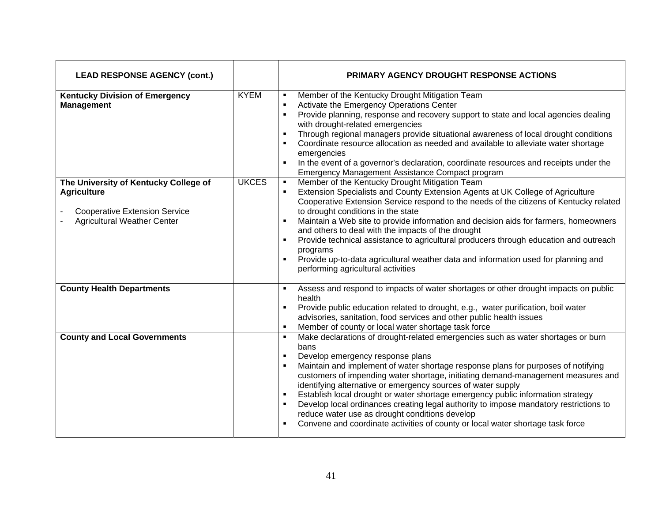| <b>LEAD RESPONSE AGENCY (cont.)</b>                                                                                                       |              | <b>PRIMARY AGENCY DROUGHT RESPONSE ACTIONS</b>                                                                                                                                                                                                                                                                                                                                                                                                                                                                                                                                                                                                                                                                |
|-------------------------------------------------------------------------------------------------------------------------------------------|--------------|---------------------------------------------------------------------------------------------------------------------------------------------------------------------------------------------------------------------------------------------------------------------------------------------------------------------------------------------------------------------------------------------------------------------------------------------------------------------------------------------------------------------------------------------------------------------------------------------------------------------------------------------------------------------------------------------------------------|
| <b>Kentucky Division of Emergency</b><br><b>Management</b>                                                                                | <b>KYEM</b>  | Member of the Kentucky Drought Mitigation Team<br>$\blacksquare$<br>Activate the Emergency Operations Center<br>$\blacksquare$<br>Provide planning, response and recovery support to state and local agencies dealing<br>٠<br>with drought-related emergencies<br>Through regional managers provide situational awareness of local drought conditions<br>Coordinate resource allocation as needed and available to alleviate water shortage<br>emergencies<br>In the event of a governor's declaration, coordinate resources and receipts under the<br>Emergency Management Assistance Compact program                                                                                                        |
| The University of Kentucky College of<br><b>Agriculture</b><br><b>Cooperative Extension Service</b><br><b>Agricultural Weather Center</b> | <b>UKCES</b> | Member of the Kentucky Drought Mitigation Team<br>$\blacksquare$<br>Extension Specialists and County Extension Agents at UK College of Agriculture<br>Cooperative Extension Service respond to the needs of the citizens of Kentucky related<br>to drought conditions in the state<br>Maintain a Web site to provide information and decision aids for farmers, homeowners<br>and others to deal with the impacts of the drought<br>Provide technical assistance to agricultural producers through education and outreach<br>programs<br>Provide up-to-data agricultural weather data and information used for planning and<br>performing agricultural activities                                             |
| <b>County Health Departments</b>                                                                                                          |              | Assess and respond to impacts of water shortages or other drought impacts on public<br>health<br>Provide public education related to drought, e.g., water purification, boil water<br>advisories, sanitation, food services and other public health issues<br>Member of county or local water shortage task force                                                                                                                                                                                                                                                                                                                                                                                             |
| <b>County and Local Governments</b>                                                                                                       |              | Make declarations of drought-related emergencies such as water shortages or burn<br>٠.<br>bans<br>Develop emergency response plans<br>$\blacksquare$<br>Maintain and implement of water shortage response plans for purposes of notifying<br>customers of impending water shortage, initiating demand-management measures and<br>identifying alternative or emergency sources of water supply<br>Establish local drought or water shortage emergency public information strategy<br>Develop local ordinances creating legal authority to impose mandatory restrictions to<br>reduce water use as drought conditions develop<br>Convene and coordinate activities of county or local water shortage task force |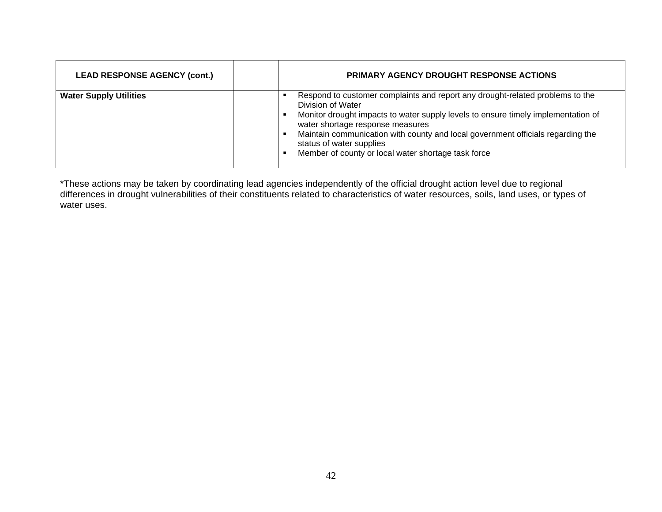| <b>LEAD RESPONSE AGENCY (cont.)</b> | <b>PRIMARY AGENCY DROUGHT RESPONSE ACTIONS</b>                                                                                                                                                                                                                                                                                                                                                    |
|-------------------------------------|---------------------------------------------------------------------------------------------------------------------------------------------------------------------------------------------------------------------------------------------------------------------------------------------------------------------------------------------------------------------------------------------------|
| <b>Water Supply Utilities</b>       | Respond to customer complaints and report any drought-related problems to the<br>Division of Water<br>Monitor drought impacts to water supply levels to ensure timely implementation of<br>water shortage response measures<br>Maintain communication with county and local government officials regarding the<br>status of water supplies<br>Member of county or local water shortage task force |

\*These actions may be taken by coordinating lead agencies independently of the official drought action level due to regional differences in drought vulnerabilities of their constituents related to characteristics of water resources, soils, land uses, or types of water uses.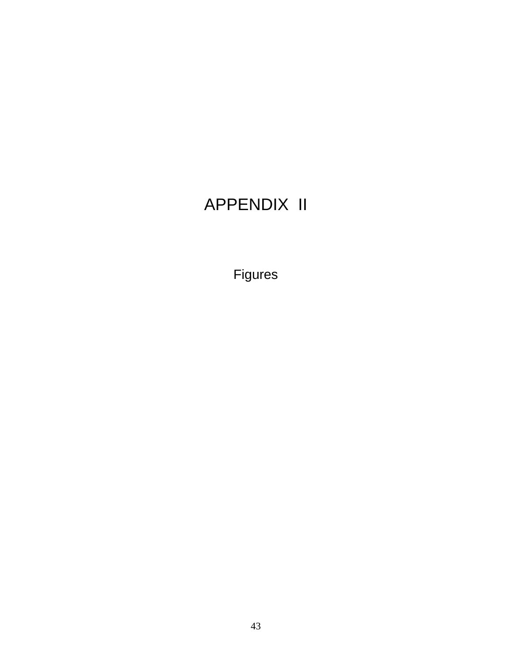## APPENDIX II

Figures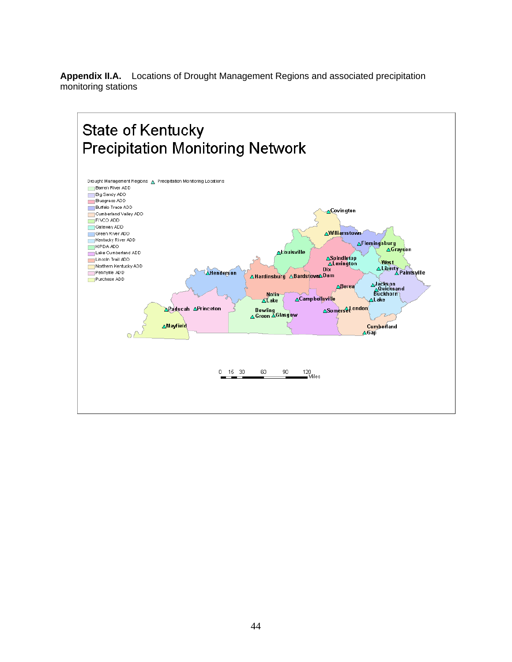**Appendix II.A.** Locations of Drought Management Regions and associated precipitation monitoring stations

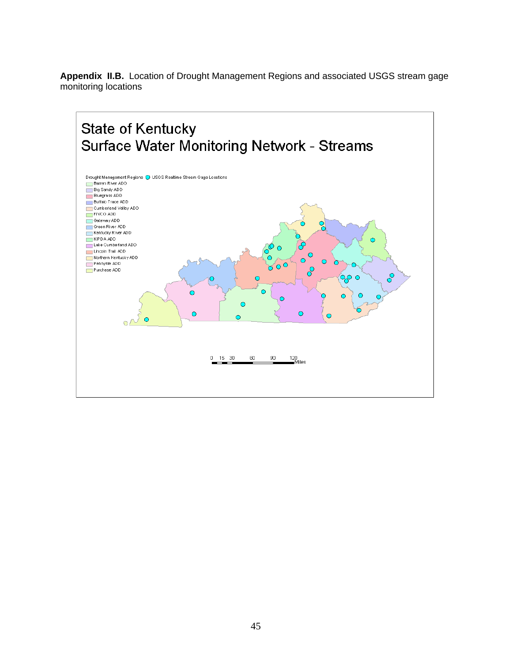**Appendix II.B.** Location of Drought Management Regions and associated USGS stream gage monitoring locations

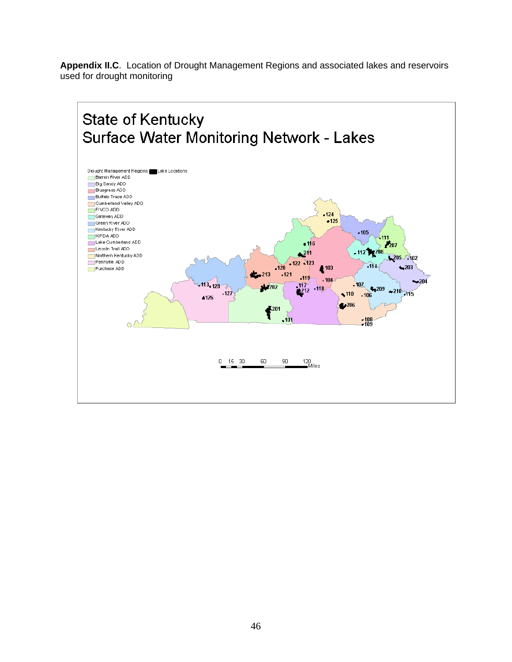**Appendix II.C**. Location of Drought Management Regions and associated lakes and reservoirs used for drought monitoring

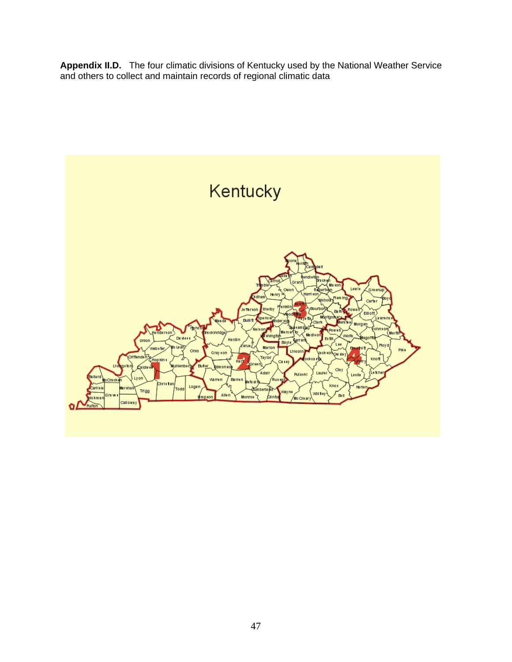**Appendix II.D.** The four climatic divisions of Kentucky used by the National Weather Service and others to collect and maintain records of regional climatic data

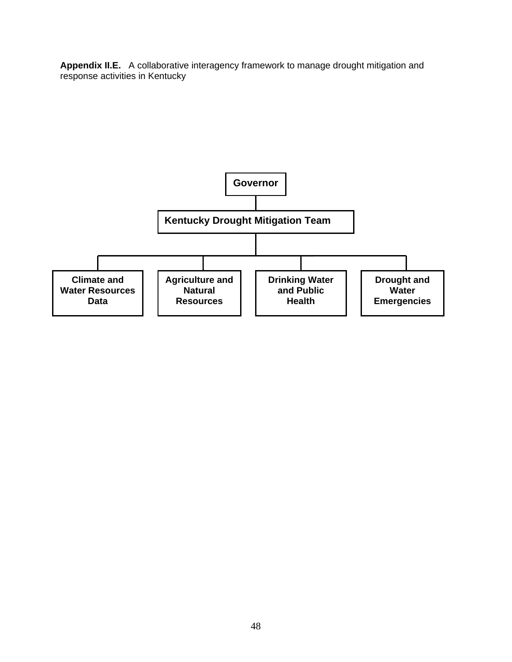**Appendix II.E.** A collaborative interagency framework to manage drought mitigation and response activities in Kentucky

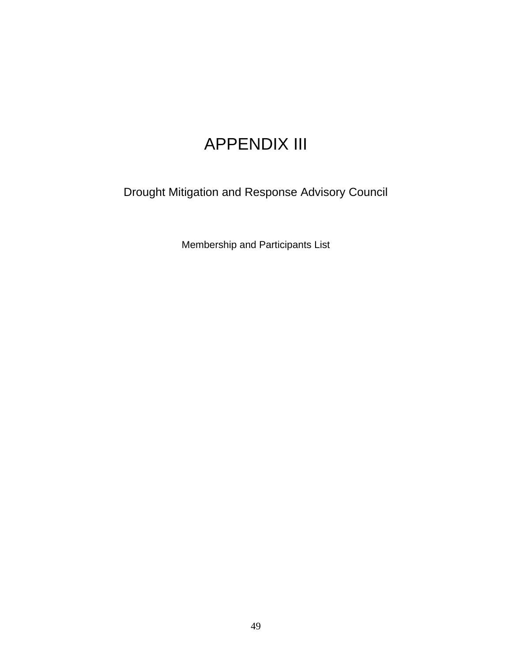## APPENDIX III

Drought Mitigation and Response Advisory Council

Membership and Participants List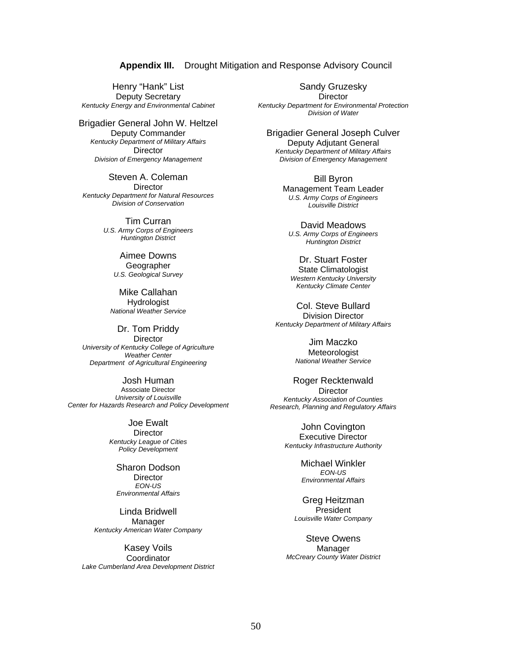**Appendix III.** Drought Mitigation and Response Advisory Council

Henry "Hank" List Deputy Secretary *Kentucky Energy and Environmental Cabinet* 

Brigadier General John W. Heltzel Deputy Commander *Kentucky Department of Military Affairs*  **Director** *Division of Emergency Management* 

Steven A. Coleman **Director** *Kentucky Department for Natural Resources Division of Conservation*

> Tim Curran *U.S. Army Corps of Engineers Huntington District*

> > Aimee Downs Geographer *U.S. Geological Survey*

Mike Callahan **Hydrologist** *National Weather Service* 

Dr. Tom Priddy **Director** *University of Kentucky College of Agriculture Weather Center Department of Agricultural Engineering*

Josh Human Associate Director *University of Louisville Center for Hazards Research and Policy Development*

> Joe Ewalt **Director** *Kentucky League of Cities Policy Development*

Sharon Dodson **Director** *EON-US Environmental Affairs* 

Linda Bridwell Manager *Kentucky American Water Company* 

Kasey Voils Coordinator *Lake Cumberland Area Development District* 

Sandy Gruzesky **Director** *Kentucky Department for Environmental Protection Division of Water*

Brigadier General Joseph Culver Deputy Adjutant General *Kentucky Department of Military Affairs Division of Emergency Management*

> Bill Byron Management Team Leader *U.S. Army Corps of Engineers Louisville District*

David Meadows *U.S. Army Corps of Engineers Huntington District* 

Dr. Stuart Foster State Climatologist *Western Kentucky University Kentucky Climate Center* 

Col. Steve Bullard Division Director *Kentucky Department of Military Affairs* 

> Jim Maczko Meteorologist *National Weather Service*

Roger Recktenwald **Director** *Kentucky Association of Counties Research, Planning and Regulatory Affairs* 

> John Covington Executive Director *Kentucky Infrastructure Authority*

> > Michael Winkler *EON-US Environmental Affairs*

Greg Heitzman **President** *Louisville Water Company* 

Steve Owens Manager *McCreary County Water District*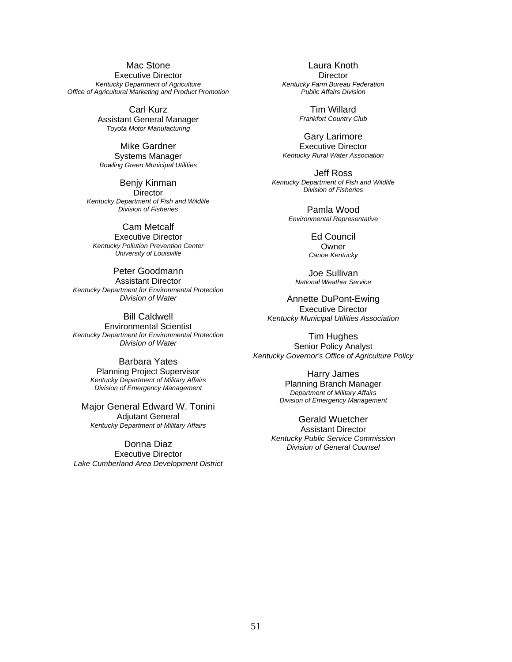#### Mac Stone Executive Director *Kentucky Department of Agriculture Office of Agricultural Marketing and Product Promotion*

Carl Kurz Assistant General Manager *Toyota Motor Manufacturing* 

Mike Gardner Systems Manager *Bowling Green Municipal Utilities* 

Benjy Kinman **Director** *Kentucky Department of Fish and Wildlife Division of Fisheries*

Cam Metcalf Executive Director *Kentucky Pollution Prevention Center University of Louisville*

Peter Goodmann Assistant Director *Kentucky Department for Environmental Protection Division of Water* 

Bill Caldwell Environmental Scientist *Kentucky Department for Environmental Protection Division of Water* 

> Barbara Yates Planning Project Supervisor *Kentucky Department of Military Affairs Division of Emergency Management*

Major General Edward W. Tonini Adjutant General *Kentucky Department of Military Affairs* 

Donna Diaz Executive Director *Lake Cumberland Area Development District* 

Laura Knoth **Director** *Kentucky Farm Bureau Federation Public Affairs Division* 

> Tim Willard *Frankfort Country Club*

Gary Larimore Executive Director *Kentucky Rural Water Association* 

Jeff Ross *Kentucky Department of Fish and Wildlife Division of Fisheries*

> Pamla Wood *Environmental Representative*

> > Ed Council Owner *Canoe Kentucky*

Joe Sullivan *National Weather Service* 

Annette DuPont-Ewing Executive Director *Kentucky Municipal Utilities Association* 

Tim Hughes Senior Policy Analyst *Kentucky Governor's Office of Agriculture Policy* 

> Harry James Planning Branch Manager *Department of Military Affairs Division of Emergency Management*

Gerald Wuetcher Assistant Director *Kentucky Public Service Commission Division of General Counsel*